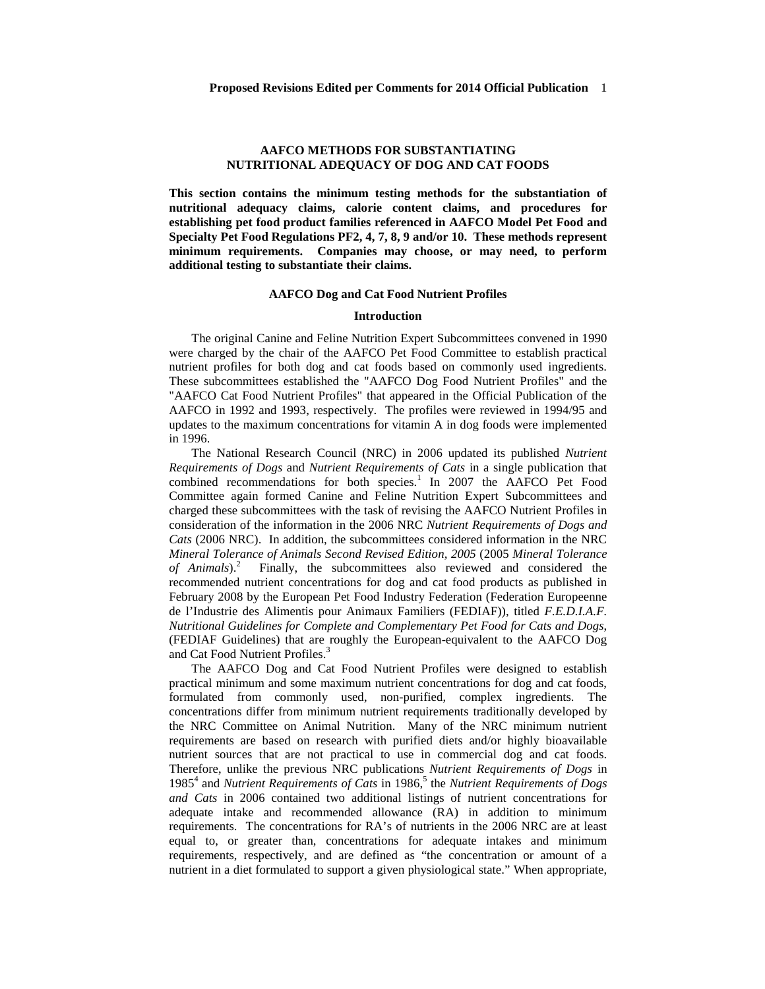## **AAFCO METHODS FOR SUBSTANTIATING NUTRITIONAL ADEQUACY OF DOG AND CAT FOODS**

**This section contains the minimum testing methods for the substantiation of nutritional adequacy claims, calorie content claims, and procedures for establishing pet food product families referenced in AAFCO Model Pet Food and Specialty Pet Food Regulations PF2, 4, 7, 8, 9 and/or 10. These methods represent minimum requirements. Companies may choose, or may need, to perform additional testing to substantiate their claims.**

## **AAFCO Dog and Cat Food Nutrient Profiles**

#### **Introduction**

The original Canine and Feline Nutrition Expert Subcommittees convened in 1990 were charged by the chair of the AAFCO Pet Food Committee to establish practical nutrient profiles for both dog and cat foods based on commonly used ingredients. These subcommittees established the "AAFCO Dog Food Nutrient Profiles" and the "AAFCO Cat Food Nutrient Profiles" that appeared in the Official Publication of the AAFCO in 1992 and 1993, respectively. The profiles were reviewed in 1994/95 and updates to the maximum concentrations for vitamin A in dog foods were implemented in 1996.

The National Research Council (NRC) in 2006 updated its published *Nutrient Requirements of Dogs* and *Nutrient Requirements of Cats* in a single publication that combined recommendations for both species.<sup>1</sup> In 2007 the AAFCO Pet Food Committee again formed Canine and Feline Nutrition Expert Subcommittees and charged these subcommittees with the task of revising the AAFCO Nutrient Profiles in consideration of the information in the 2006 NRC *Nutrient Requirements of Dogs and Cats* (2006 NRC). In addition, the subcommittees considered information in the NRC *Mineral Tolerance of Animals Second Revised Edition, 2005* (2005 *Mineral Tolerance of Animals*).<sup>2</sup> Finally, the subcommittees also reviewed and considered the recommended nutrient concentrations for dog and cat food products as published in February 2008 by the European Pet Food Industry Federation (Federation Europeenne de l'Industrie des Alimentis pour Animaux Familiers (FEDIAF)), titled *F.E.D.I.A.F. Nutritional Guidelines for Complete and Complementary Pet Food for Cats and Dogs*, (FEDIAF Guidelines) that are roughly the European-equivalent to the AAFCO Dog and Cat Food Nutrient Profiles.<sup>3</sup>

The AAFCO Dog and Cat Food Nutrient Profiles were designed to establish practical minimum and some maximum nutrient concentrations for dog and cat foods, formulated from commonly used, non-purified, complex ingredients. The concentrations differ from minimum nutrient requirements traditionally developed by the NRC Committee on Animal Nutrition. Many of the NRC minimum nutrient requirements are based on research with purified diets and/or highly bioavailable nutrient sources that are not practical to use in commercial dog and cat foods. Therefore, unlike the previous NRC publications *Nutrient Requirements of Dogs* in 1985<sup>4</sup> and *Nutrient Requirements of Cats* in 1986, <sup>5</sup> the *Nutrient Requirements of Dogs and Cats* in 2006 contained two additional listings of nutrient concentrations for adequate intake and recommended allowance (RA) in addition to minimum requirements. The concentrations for RA's of nutrients in the 2006 NRC are at least equal to, or greater than, concentrations for adequate intakes and minimum requirements, respectively, and are defined as "the concentration or amount of a nutrient in a diet formulated to support a given physiological state." When appropriate,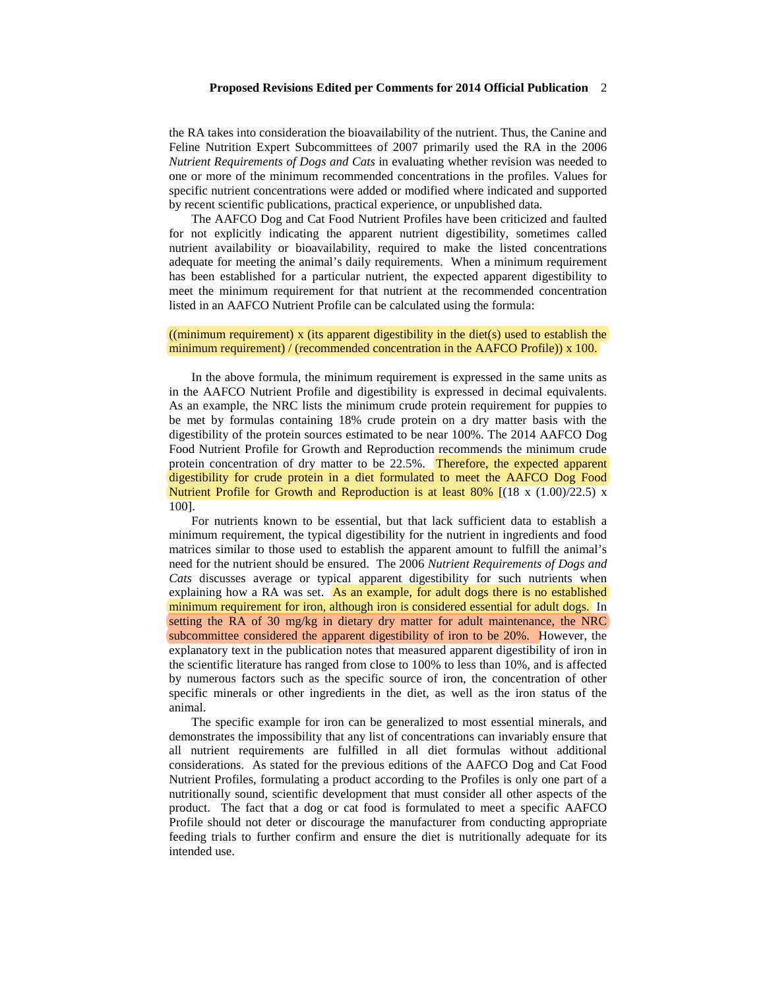the RA takes into consideration the bioavailability of the nutrient. Thus, the Canine and Feline Nutrition Expert Subcommittees of 2007 primarily used the RA in the 2006 *Nutrient Requirements of Dogs and Cats* in evaluating whether revision was needed to one or more of the minimum recommended concentrations in the profiles. Values for specific nutrient concentrations were added or modified where indicated and supported by recent scientific publications, practical experience, or unpublished data.

The AAFCO Dog and Cat Food Nutrient Profiles have been criticized and faulted for not explicitly indicating the apparent nutrient digestibility, sometimes called nutrient availability or bioavailability, required to make the listed concentrations adequate for meeting the animal's daily requirements. When a minimum requirement has been established for a particular nutrient, the expected apparent digestibility to meet the minimum requirement for that nutrient at the recommended concentration listed in an AAFCO Nutrient Profile can be calculated using the formula:

## ((minimum requirement) x (its apparent digestibility in the diet(s) used to establish the minimum requirement) / (recommended concentration in the AAFCO Profile)) x 100.

In the above formula, the minimum requirement is expressed in the same units as in the AAFCO Nutrient Profile and digestibility is expressed in decimal equivalents. As an example, the NRC lists the minimum crude protein requirement for puppies to be met by formulas containing 18% crude protein on a dry matter basis with the digestibility of the protein sources estimated to be near 100%. The 2014 AAFCO Dog Food Nutrient Profile for Growth and Reproduction recommends the minimum crude protein concentration of dry matter to be 22.5%. Therefore, the expected apparent digestibility for crude protein in a diet formulated to meet the AAFCO Dog Food Nutrient Profile for Growth and Reproduction is at least  $80\%$  [ $(18 \times (1.00)/22.5)$  x 100].

For nutrients known to be essential, but that lack sufficient data to establish a minimum requirement, the typical digestibility for the nutrient in ingredients and food matrices similar to those used to establish the apparent amount to fulfill the animal's need for the nutrient should be ensured. The 2006 *Nutrient Requirements of Dogs and Cats* discusses average or typical apparent digestibility for such nutrients when explaining how a RA was set.  $\overrightarrow{As}$  an example, for adult dogs there is no established minimum requirement for iron, although iron is considered essential for adult dogs. In setting the RA of 30 mg/kg in dietary dry matter for adult maintenance, the NRC subcommittee considered the apparent digestibility of iron to be 20%. However, the explanatory text in the publication notes that measured apparent digestibility of iron in the scientific literature has ranged from close to 100% to less than 10%, and is affected by numerous factors such as the specific source of iron, the concentration of other specific minerals or other ingredients in the diet, as well as the iron status of the animal.

The specific example for iron can be generalized to most essential minerals, and demonstrates the impossibility that any list of concentrations can invariably ensure that all nutrient requirements are fulfilled in all diet formulas without additional considerations. As stated for the previous editions of the AAFCO Dog and Cat Food Nutrient Profiles, formulating a product according to the Profiles is only one part of a nutritionally sound, scientific development that must consider all other aspects of the product. The fact that a dog or cat food is formulated to meet a specific AAFCO Profile should not deter or discourage the manufacturer from conducting appropriate feeding trials to further confirm and ensure the diet is nutritionally adequate for its intended use.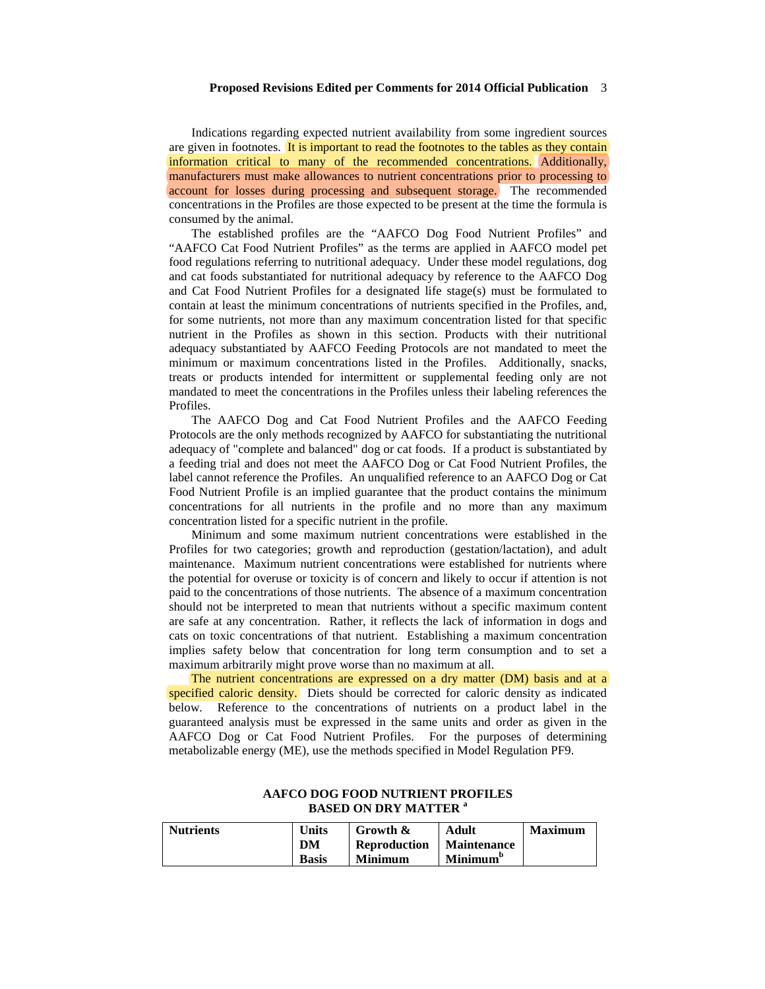Indications regarding expected nutrient availability from some ingredient sources are given in footnotes. It is important to read the footnotes to the tables as they contain information critical to many of the recommended concentrations. Additionally, manufacturers must make allowances to nutrient concentrations prior to processing to account for losses during processing and subsequent storage. The recommended concentrations in the Profiles are those expected to be present at the time the formula is consumed by the animal.

The established profiles are the "AAFCO Dog Food Nutrient Profiles" and "AAFCO Cat Food Nutrient Profiles" as the terms are applied in AAFCO model pet food regulations referring to nutritional adequacy. Under these model regulations, dog and cat foods substantiated for nutritional adequacy by reference to the AAFCO Dog and Cat Food Nutrient Profiles for a designated life stage(s) must be formulated to contain at least the minimum concentrations of nutrients specified in the Profiles, and, for some nutrients, not more than any maximum concentration listed for that specific nutrient in the Profiles as shown in this section. Products with their nutritional adequacy substantiated by AAFCO Feeding Protocols are not mandated to meet the minimum or maximum concentrations listed in the Profiles. Additionally, snacks, treats or products intended for intermittent or supplemental feeding only are not mandated to meet the concentrations in the Profiles unless their labeling references the Profiles.

The AAFCO Dog and Cat Food Nutrient Profiles and the AAFCO Feeding Protocols are the only methods recognized by AAFCO for substantiating the nutritional adequacy of "complete and balanced" dog or cat foods. If a product is substantiated by a feeding trial and does not meet the AAFCO Dog or Cat Food Nutrient Profiles, the label cannot reference the Profiles. An unqualified reference to an AAFCO Dog or Cat Food Nutrient Profile is an implied guarantee that the product contains the minimum concentrations for all nutrients in the profile and no more than any maximum concentration listed for a specific nutrient in the profile.

Minimum and some maximum nutrient concentrations were established in the Profiles for two categories; growth and reproduction (gestation/lactation), and adult maintenance. Maximum nutrient concentrations were established for nutrients where the potential for overuse or toxicity is of concern and likely to occur if attention is not paid to the concentrations of those nutrients. The absence of a maximum concentration should not be interpreted to mean that nutrients without a specific maximum content are safe at any concentration. Rather, it reflects the lack of information in dogs and cats on toxic concentrations of that nutrient. Establishing a maximum concentration implies safety below that concentration for long term consumption and to set a maximum arbitrarily might prove worse than no maximum at all.

The nutrient concentrations are expressed on a dry matter (DM) basis and at a specified caloric density. Diets should be corrected for caloric density as indicated below. Reference to the concentrations of nutrients on a product label in the guaranteed analysis must be expressed in the same units and order as given in the AAFCO Dog or Cat Food Nutrient Profiles. For the purposes of determining metabolizable energy (ME), use the methods specified in Model Regulation PF9.

| <b>Nutrients</b> | Units | Growth &            | Adult                | <b>Maximum</b> |
|------------------|-------|---------------------|----------------------|----------------|
|                  | DM    | <b>Reproduction</b> | <b>Maintenance</b>   |                |
|                  | Basis | <b>Minimum</b>      | Minimum <sup>b</sup> |                |

## **AAFCO DOG FOOD NUTRIENT PROFILES BASED ON DRY MATTER <sup>a</sup>**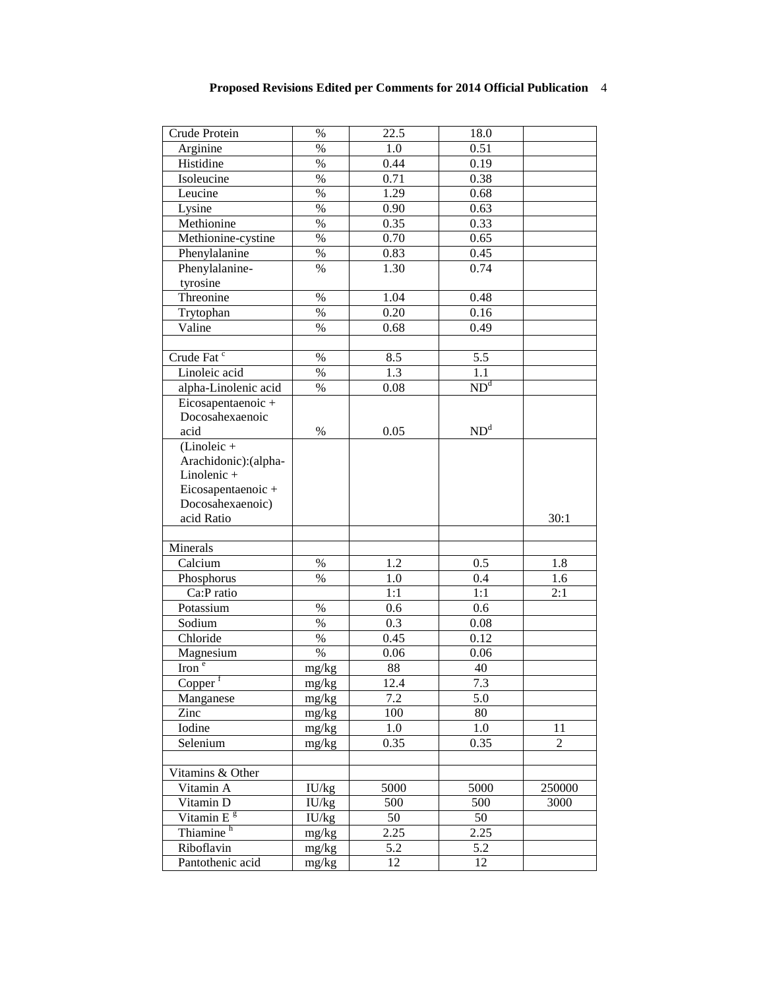| Crude Protein              | $\%$               | 22.5        | 18.0                                  |                |
|----------------------------|--------------------|-------------|---------------------------------------|----------------|
| Arginine                   | $\%$               | 1.0         | 0.51                                  |                |
| Histidine                  | $\%$               | 0.44        | 0.19                                  |                |
| Isoleucine                 | $\%$               | 0.71        | 0.38                                  |                |
| Leucine                    | $\%$               | 1.29        | 0.68                                  |                |
| Lysine                     | $\%$               | 0.90        | 0.63                                  |                |
| Methionine                 | $\%$               | 0.35        | 0.33                                  |                |
| Methionine-cystine         | $\%$               | 0.70        | 0.65                                  |                |
| Phenylalanine              | $\%$               | 0.83        | 0.45                                  |                |
| Phenylalanine-             | $\%$               | 1.30        | 0.74                                  |                |
| tyrosine                   |                    |             |                                       |                |
| Threonine                  | $\%$               | 1.04        | 0.48                                  |                |
| Trytophan                  | $\%$               | 0.20        | 0.16                                  |                |
| Valine                     | $\%$               | 0.68        | 0.49                                  |                |
|                            |                    |             |                                       |                |
| Crude Fat <sup>c</sup>     | $\%$               | 8.5         | 5.5                                   |                |
| Linoleic acid              | $\%$               | 1.3         | 1.1                                   |                |
| alpha-Linolenic acid       | $\%$               | 0.08        | $\overline{\mathrm{ND}^{\mathrm{d}}}$ |                |
| Eicosapentaenoic +         |                    |             |                                       |                |
| Docosahexaenoic            |                    |             |                                       |                |
| acid                       | $\%$               | 0.05        | ND <sup>d</sup>                       |                |
| $(Linoleic +$              |                    |             |                                       |                |
| Arachidonic): (alpha-      |                    |             |                                       |                |
| Linolenic +                |                    |             |                                       |                |
| Eicosapentaenoic+          |                    |             |                                       |                |
| Docosahexaenoic)           |                    |             |                                       |                |
| acid Ratio                 |                    |             |                                       | 30:1           |
|                            |                    |             |                                       |                |
| Minerals                   |                    |             |                                       |                |
| Calcium                    | $\%$               | 1.2         | 0.5                                   | 1.8            |
| Phosphorus                 | $\%$               | 1.0         | 0.4                                   | 1.6            |
| Ca:P ratio                 |                    | 1:1         | 1:1                                   | 2:1            |
| Potassium                  | $\%$               | 0.6         | 0.6                                   |                |
| Sodium                     | $\%$               | 0.3         | 0.08                                  |                |
| Chloride                   | $\%$               | 0.45        | 0.12                                  |                |
| Magnesium                  | $\%$               | 0.06        | 0.06                                  |                |
| $\overline{\text{Iron}^e}$ | mg/kg              | 88          | 40                                    |                |
|                            |                    |             |                                       |                |
| Copper                     | mg/kg              | 12.4<br>7.2 | 7.3<br>5.0                            |                |
| Manganese                  | mg/kg              |             |                                       |                |
| Zinc                       | mg/kg              | 100         | 80                                    |                |
| Iodine                     | mg/kg              | 1.0         | 1.0                                   | 11             |
| Selenium                   | mg/kg              | 0.35        | 0.35                                  | $\overline{2}$ |
| Vitamins & Other           |                    |             |                                       |                |
| Vitamin A                  | $\overline{I}U/kg$ | 5000        | 5000                                  | 250000         |
| Vitamin D                  | $\overline{I}U/kg$ | 500         | 500                                   | 3000           |
| Vitamin E <sup>g</sup>     | IU/kg              | 50          | 50                                    |                |
| Thiamine <sup>h</sup>      | mg/kg              | 2.25        | 2.25                                  |                |
| Riboflavin                 | mg/kg              | 5.2         | $\overline{5.2}$                      |                |
| Pantothenic acid           | mg/kg              | 12          | 12                                    |                |
|                            |                    |             |                                       |                |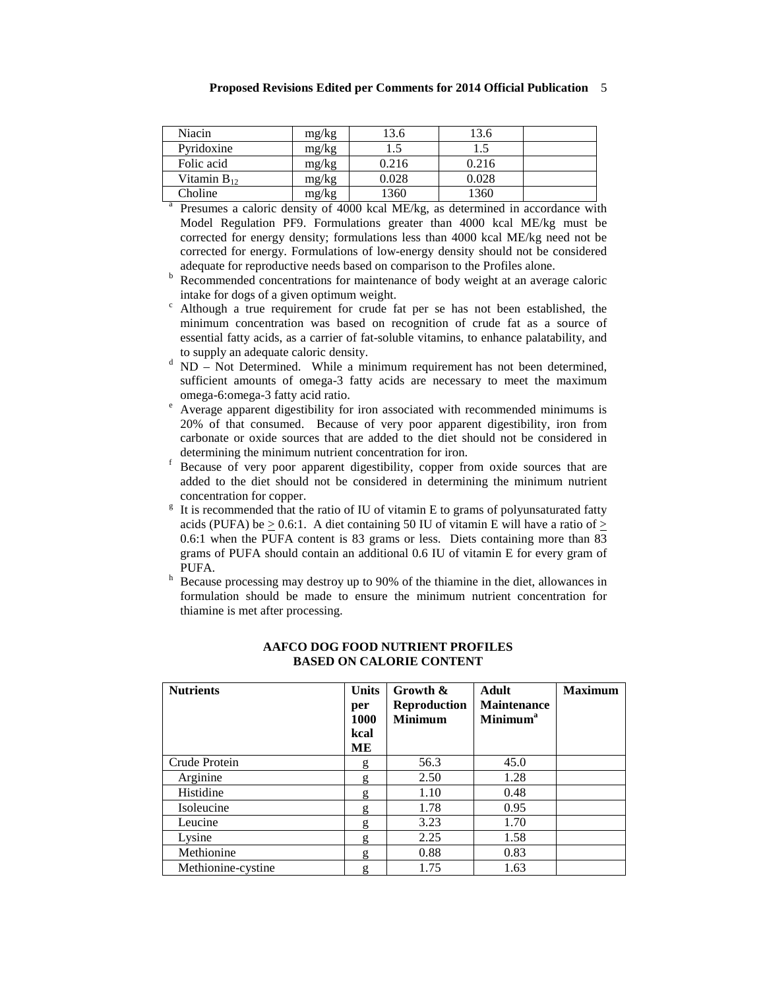| Niacin           | mg/kg | 3.6   | 13.6  |  |
|------------------|-------|-------|-------|--|
| Pyridoxine       | mg/kg |       |       |  |
| Folic acid       | mg/kg | 0.216 | 0.216 |  |
| Vitamin $B_{12}$ | mg/kg | 0.028 | 0.028 |  |
| Choline          | mg/kg | 1360  | 1360  |  |

Presumes a caloric density of 4000 kcal ME/kg, as determined in accordance with Model Regulation PF9. Formulations greater than 4000 kcal ME/kg must be corrected for energy density; formulations less than 4000 kcal ME/kg need not be corrected for energy. Formulations of low-energy density should not be considered adequate for reproductive needs based on comparison to the Profiles alone.

- $\overrightarrow{a}$  Recommended concentrations for maintenance of body weight at an average caloric intake for dogs of a given optimum weight.<br>Although a true requirement for crude fat per se has not been established, the
- minimum concentration was based on recognition of crude fat as a source of essential fatty acids, as a carrier of fat-soluble vitamins, to enhance palatability, and
- to supply an adequate caloric density.<br> $d$  ND Not Determined. While a minimum requirement has not been determined, sufficient amounts of omega-3 fatty acids are necessary to meet the maximum omega-6:omega-3 fatty acid ratio.<br>
<sup>e</sup> Average apparent digestibility for iron associated with recommended minimums is
- 20% of that consumed. Because of very poor apparent digestibility, iron from carbonate or oxide sources that are added to the diet should not be considered in
- determining the minimum number concentration for iron. For its set of very poor apparent digestibility, copper from oxide sources that are added to the diet should not be considered in determining the minimum nutrient concentration for copper.<br><sup>g</sup> It is recommended that the ratio of IU of vitamin E to grams of polyunsaturated fatty
- acids (PUFA) be  $> 0.6$ :1. A diet containing 50 IU of vitamin E will have a ratio of  $>$ 0.6:1 when the PUFA content is 83 grams or less. Diets containing more than 83 grams of PUFA should contain an additional 0.6 IU of vitamin E for every gram of PUFA.  $h$  Because processing may destroy up to 90% of the thiamine in the diet, allowances in
- formulation should be made to ensure the minimum nutrient concentration for thiamine is met after processing.

| <b>Nutrients</b>   | <b>Units</b> | Growth &            | <b>Adult</b>         | <b>Maximum</b> |
|--------------------|--------------|---------------------|----------------------|----------------|
|                    | per          | <b>Reproduction</b> | <b>Maintenance</b>   |                |
|                    | 1000         | <b>Minimum</b>      | Minimum <sup>a</sup> |                |
|                    | kcal         |                     |                      |                |
|                    | MЕ           |                     |                      |                |
| Crude Protein      | g            | 56.3                | 45.0                 |                |
| Arginine           | g            | 2.50                | 1.28                 |                |
| Histidine          | g            | 1.10                | 0.48                 |                |
| Isoleucine         | g            | 1.78                | 0.95                 |                |
| Leucine            | g            | 3.23                | 1.70                 |                |
| Lysine             | g            | 2.25                | 1.58                 |                |
| Methionine         | g            | 0.88                | 0.83                 |                |
| Methionine-cystine | g            | 1.75                | 1.63                 |                |

## **AAFCO DOG FOOD NUTRIENT PROFILES BASED ON CALORIE CONTENT**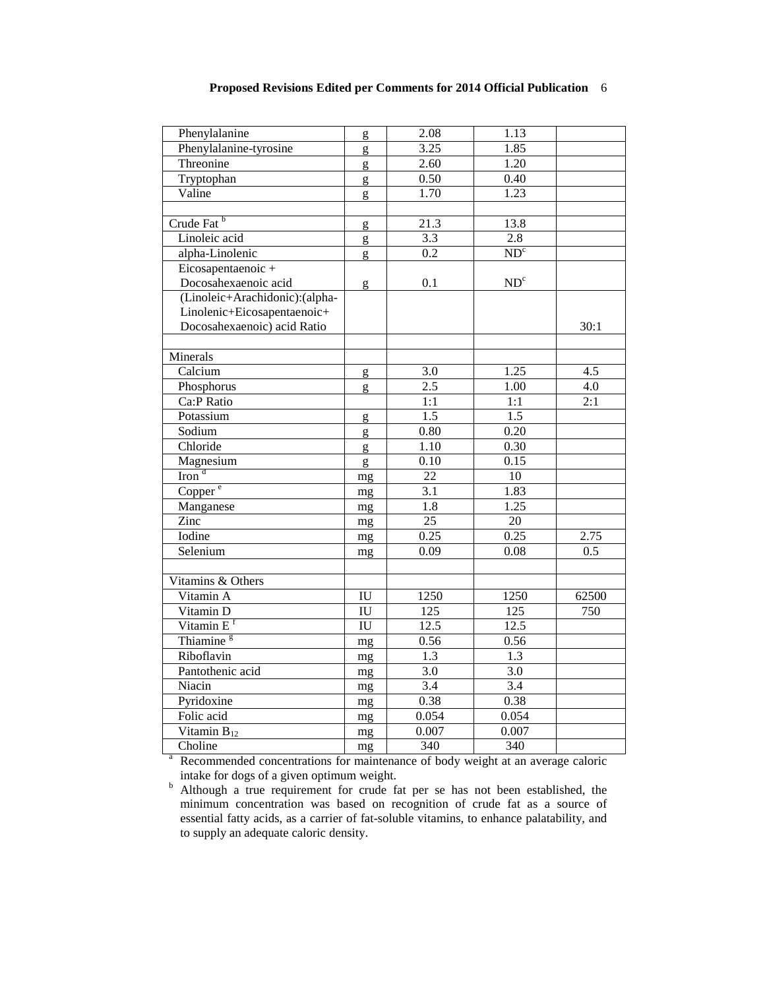| Phenylalanine                  | g                      | 2.08              | 1.13             |       |
|--------------------------------|------------------------|-------------------|------------------|-------|
| Phenylalanine-tyrosine         | g                      | 3.25              | 1.85             |       |
| Threonine                      | g                      | 2.60              | 1.20             |       |
| Tryptophan                     | g                      | 0.50              | 0.40             |       |
| Valine                         | g                      | 1.70              | 1.23             |       |
|                                |                        |                   |                  |       |
| Crude Fat <sup>b</sup>         | g                      | $\overline{21.3}$ | 13.8             |       |
| Linoleic acid                  | g                      | 3.3               | 2.8              |       |
| alpha-Linolenic                | g                      | 0.2               | ND <sup>c</sup>  |       |
| Eicosapentaenoic+              |                        |                   |                  |       |
| Docosahexaenoic acid           | g                      | 0.1               | ND <sup>c</sup>  |       |
| (Linoleic+Arachidonic):(alpha- |                        |                   |                  |       |
| Linolenic+Eicosapentaenoic+    |                        |                   |                  |       |
| Docosahexaenoic) acid Ratio    |                        |                   |                  | 30:1  |
|                                |                        |                   |                  |       |
| Minerals                       |                        |                   |                  |       |
| Calcium                        | g                      | 3.0               | 1.25             | 4.5   |
| Phosphorus                     | g                      | $\overline{2.5}$  | 1.00             | 4.0   |
| Ca:P Ratio                     |                        | 1:1               | 1:1              | 2:1   |
| Potassium                      | g                      | $\overline{1.5}$  | 1.5              |       |
| Sodium                         | g                      | 0.80              | 0.20             |       |
| Chloride                       | g                      | 1.10              | 0.30             |       |
| Magnesium                      | g                      | 0.10              | 0.15             |       |
| $\overline{\text{Iron}}^d$     | mg                     | $\overline{22}$   | 10               |       |
| Copper <sup>e</sup>            | mg                     | 3.1               | 1.83             |       |
| Manganese                      | mg                     | 1.8               | 1.25             |       |
| Zinc                           | mg                     | $\overline{25}$   | $20\,$           |       |
| Iodine                         | mg                     | 0.25              | 0.25             | 2.75  |
| Selenium                       | mg                     | 0.09              | 0.08             | 0.5   |
|                                |                        |                   |                  |       |
| Vitamins & Others              |                        |                   |                  |       |
| Vitamin A                      | IU                     | 1250              | 1250             | 62500 |
| Vitamin D                      | IU                     | 125               | 125              | 750   |
| Vitamin E <sup>f</sup>         | $\overline{\text{IU}}$ | 12.5              | 12.5             |       |
| Thiamine <sup>g</sup>          | mg                     | 0.56              | 0.56             |       |
| Riboflavin                     | mg                     | $1.3\,$           | 1.3              |       |
| Pantothenic acid               | mg                     | 3.0               | 3.0              |       |
| Niacin                         | mg                     | $\overline{3.4}$  | $\overline{3.4}$ |       |
| Pyridoxine                     | mg                     | 0.38              | 0.38             |       |
| Folic acid                     | mg                     | 0.054             | 0.054            |       |
| Vitamin $B_{12}$               | mg                     | 0.007             | 0.007            |       |
| Choline                        | mg                     | 340               | 340              |       |
|                                |                        |                   |                  |       |

<sup>a</sup> Recommended concentrations for maintenance of body weight at an average caloric intake for dogs of a given optimum weight.<br>
<sup>b</sup> Although a true requirement for crude fat per se has not been established, the

minimum concentration was based on recognition of crude fat as a source of essential fatty acids, as a carrier of fat-soluble vitamins, to enhance palatability, and to supply an adequate caloric density.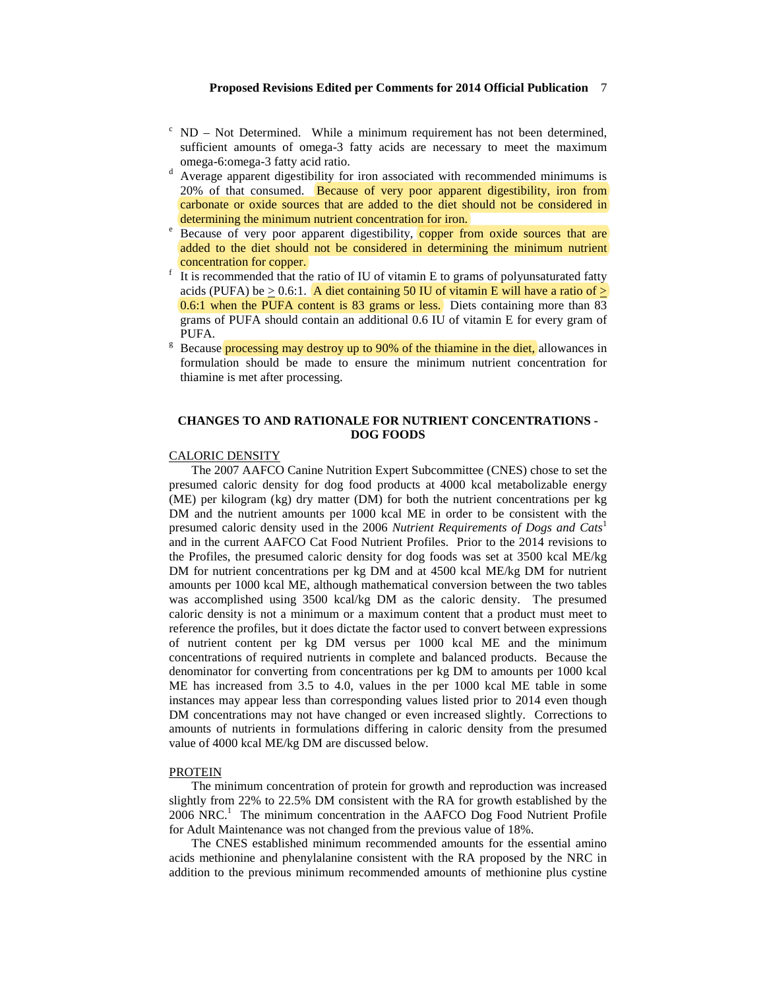- $\epsilon$  ND Not Determined. While a minimum requirement has not been determined, sufficient amounts of omega-3 fatty acids are necessary to meet the maximum omega-6:omega-3 fatty acid ratio.<br> $d$  Average apparent digestibility for iron associated with recommended minimums is
- 20% of that consumed. Because of very poor apparent digestibility, iron from carbonate or oxide sources that are added to the diet should not be considered in determining the minimum nutrient concentration for iron.
- Because of very poor apparent digestibility, copper from oxide sources that are added to the diet should not be considered in determining the minimum nutrient concentration for copper.<br>It is recommended that the ratio of IU of vitamin E to grams of polyunsaturated fatty
- acids (PUFA) be  $> 0.6$ :1. A diet containing 50 IU of vitamin E will have a ratio of  $>$ 0.6:1 when the PUFA content is 83 grams or less. Diets containing more than 83 grams of PUFA should contain an additional 0.6 IU of vitamin E for every gram of PUFA. g Because **processing may destroy up to 90% of the thiamine in the diet,** allowances in
- formulation should be made to ensure the minimum nutrient concentration for thiamine is met after processing.

# **CHANGES TO AND RATIONALE FOR NUTRIENT CONCENTRATIONS - DOG FOODS**

## CALORIC DENSITY

The 2007 AAFCO Canine Nutrition Expert Subcommittee (CNES) chose to set the presumed caloric density for dog food products at 4000 kcal metabolizable energy (ME) per kilogram (kg) dry matter (DM) for both the nutrient concentrations per kg DM and the nutrient amounts per 1000 kcal ME in order to be consistent with the presumed caloric density used in the 2006 *Nutrient Requirements of Dogs and Cats*<sup>1</sup> and in the current AAFCO Cat Food Nutrient Profiles. Prior to the 2014 revisions to the Profiles, the presumed caloric density for dog foods was set at 3500 kcal ME/kg DM for nutrient concentrations per kg DM and at 4500 kcal ME/kg DM for nutrient amounts per 1000 kcal ME, although mathematical conversion between the two tables was accomplished using 3500 kcal/kg DM as the caloric density. The presumed caloric density is not a minimum or a maximum content that a product must meet to reference the profiles, but it does dictate the factor used to convert between expressions of nutrient content per kg DM versus per 1000 kcal ME and the minimum concentrations of required nutrients in complete and balanced products. Because the denominator for converting from concentrations per kg DM to amounts per 1000 kcal ME has increased from 3.5 to 4.0, values in the per 1000 kcal ME table in some instances may appear less than corresponding values listed prior to 2014 even though DM concentrations may not have changed or even increased slightly. Corrections to amounts of nutrients in formulations differing in caloric density from the presumed value of 4000 kcal ME/kg DM are discussed below.

#### PROTEIN

The minimum concentration of protein for growth and reproduction was increased slightly from 22% to 22.5% DM consistent with the RA for growth established by the 2006 NRC.<sup>1</sup> The minimum concentration in the AAFCO Dog Food Nutrient Profile for Adult Maintenance was not changed from the previous value of 18%.

The CNES established minimum recommended amounts for the essential amino acids methionine and phenylalanine consistent with the RA proposed by the NRC in addition to the previous minimum recommended amounts of methionine plus cystine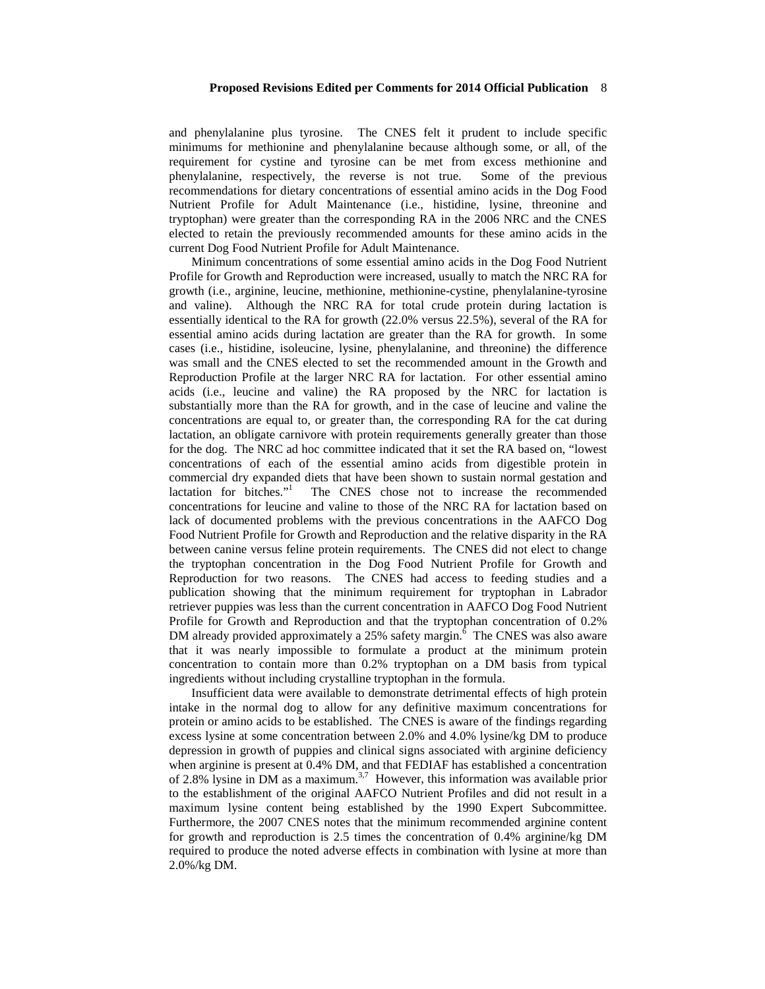and phenylalanine plus tyrosine. The CNES felt it prudent to include specific minimums for methionine and phenylalanine because although some, or all, of the requirement for cystine and tyrosine can be met from excess methionine and phenylalanine, respectively, the reverse is not true. Some of the previous recommendations for dietary concentrations of essential amino acids in the Dog Food Nutrient Profile for Adult Maintenance (i.e., histidine, lysine, threonine and tryptophan) were greater than the corresponding RA in the 2006 NRC and the CNES elected to retain the previously recommended amounts for these amino acids in the current Dog Food Nutrient Profile for Adult Maintenance.

Minimum concentrations of some essential amino acids in the Dog Food Nutrient Profile for Growth and Reproduction were increased, usually to match the NRC RA for growth (i.e., arginine, leucine, methionine, methionine-cystine, phenylalanine-tyrosine and valine). Although the NRC RA for total crude protein during lactation is essentially identical to the RA for growth (22.0% versus 22.5%), several of the RA for essential amino acids during lactation are greater than the RA for growth. In some cases (i.e., histidine, isoleucine, lysine, phenylalanine, and threonine) the difference was small and the CNES elected to set the recommended amount in the Growth and Reproduction Profile at the larger NRC RA for lactation. For other essential amino acids (i.e., leucine and valine) the RA proposed by the NRC for lactation is substantially more than the RA for growth, and in the case of leucine and valine the concentrations are equal to, or greater than, the corresponding RA for the cat during lactation, an obligate carnivore with protein requirements generally greater than those for the dog. The NRC ad hoc committee indicated that it set the RA based on, "lowest concentrations of each of the essential amino acids from digestible protein in commercial dry expanded diets that have been shown to sustain normal gestation and lactation for bitches." The CNES chose not to increase the recommended concentrations for leucine and valine to those of the NRC RA for lactation based on lack of documented problems with the previous concentrations in the AAFCO Dog Food Nutrient Profile for Growth and Reproduction and the relative disparity in the RA between canine versus feline protein requirements. The CNES did not elect to change the tryptophan concentration in the Dog Food Nutrient Profile for Growth and Reproduction for two reasons. The CNES had access to feeding studies and a publication showing that the minimum requirement for tryptophan in Labrador retriever puppies was less than the current concentration in AAFCO Dog Food Nutrient Profile for Growth and Reproduction and that the tryptophan concentration of 0.2% DM already provided approximately a 25% safety margin.<sup> $\bar{6}$ </sup> The CNES was also aware that it was nearly impossible to formulate a product at the minimum protein concentration to contain more than 0.2% tryptophan on a DM basis from typical ingredients without including crystalline tryptophan in the formula.

Insufficient data were available to demonstrate detrimental effects of high protein intake in the normal dog to allow for any definitive maximum concentrations for protein or amino acids to be established. The CNES is aware of the findings regarding excess lysine at some concentration between 2.0% and 4.0% lysine/kg DM to produce depression in growth of puppies and clinical signs associated with arginine deficiency when arginine is present at 0.4% DM, and that FEDIAF has established a concentration of 2.8% lysine in DM as a maximum.<sup>3,7</sup> However, this information was available prior to the establishment of the original AAFCO Nutrient Profiles and did not result in a maximum lysine content being established by the 1990 Expert Subcommittee. Furthermore, the 2007 CNES notes that the minimum recommended arginine content for growth and reproduction is 2.5 times the concentration of 0.4% arginine/kg DM required to produce the noted adverse effects in combination with lysine at more than 2.0%/kg DM.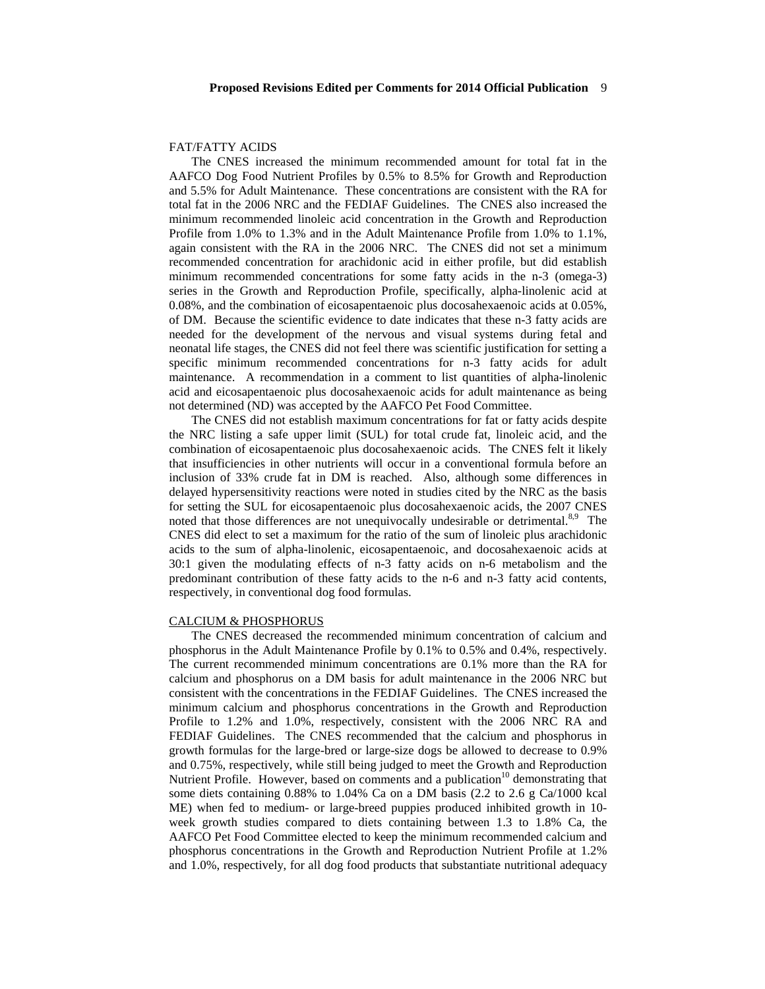#### FAT/FATTY ACIDS

The CNES increased the minimum recommended amount for total fat in the AAFCO Dog Food Nutrient Profiles by 0.5% to 8.5% for Growth and Reproduction and 5.5% for Adult Maintenance. These concentrations are consistent with the RA for total fat in the 2006 NRC and the FEDIAF Guidelines. The CNES also increased the minimum recommended linoleic acid concentration in the Growth and Reproduction Profile from 1.0% to 1.3% and in the Adult Maintenance Profile from 1.0% to 1.1%, again consistent with the RA in the 2006 NRC. The CNES did not set a minimum recommended concentration for arachidonic acid in either profile, but did establish minimum recommended concentrations for some fatty acids in the n-3 (omega-3) series in the Growth and Reproduction Profile, specifically, alpha-linolenic acid at 0.08%, and the combination of eicosapentaenoic plus docosahexaenoic acids at 0.05%, of DM. Because the scientific evidence to date indicates that these n-3 fatty acids are needed for the development of the nervous and visual systems during fetal and neonatal life stages, the CNES did not feel there was scientific justification for setting a specific minimum recommended concentrations for n-3 fatty acids for adult maintenance. A recommendation in a comment to list quantities of alpha-linolenic acid and eicosapentaenoic plus docosahexaenoic acids for adult maintenance as being not determined (ND) was accepted by the AAFCO Pet Food Committee.

The CNES did not establish maximum concentrations for fat or fatty acids despite the NRC listing a safe upper limit (SUL) for total crude fat, linoleic acid, and the combination of eicosapentaenoic plus docosahexaenoic acids. The CNES felt it likely that insufficiencies in other nutrients will occur in a conventional formula before an inclusion of 33% crude fat in DM is reached. Also, although some differences in delayed hypersensitivity reactions were noted in studies cited by the NRC as the basis for setting the SUL for eicosapentaenoic plus docosahexaenoic acids, the 2007 CNES noted that those differences are not unequivocally undesirable or detrimental.<sup>8,9</sup> The CNES did elect to set a maximum for the ratio of the sum of linoleic plus arachidonic acids to the sum of alpha-linolenic, eicosapentaenoic, and docosahexaenoic acids at 30:1 given the modulating effects of n-3 fatty acids on n-6 metabolism and the predominant contribution of these fatty acids to the n-6 and n-3 fatty acid contents, respectively, in conventional dog food formulas.

#### CALCIUM & PHOSPHORUS

The CNES decreased the recommended minimum concentration of calcium and phosphorus in the Adult Maintenance Profile by 0.1% to 0.5% and 0.4%, respectively. The current recommended minimum concentrations are 0.1% more than the RA for calcium and phosphorus on a DM basis for adult maintenance in the 2006 NRC but consistent with the concentrations in the FEDIAF Guidelines. The CNES increased the minimum calcium and phosphorus concentrations in the Growth and Reproduction Profile to 1.2% and 1.0%, respectively, consistent with the 2006 NRC RA and FEDIAF Guidelines. The CNES recommended that the calcium and phosphorus in growth formulas for the large-bred or large-size dogs be allowed to decrease to 0.9% and 0.75%, respectively, while still being judged to meet the Growth and Reproduction Nutrient Profile. However, based on comments and a publication $10$  demonstrating that some diets containing 0.88% to 1.04% Ca on a DM basis (2.2 to 2.6 g Ca/1000 kcal ME) when fed to medium- or large-breed puppies produced inhibited growth in 10 week growth studies compared to diets containing between 1.3 to 1.8% Ca, the AAFCO Pet Food Committee elected to keep the minimum recommended calcium and phosphorus concentrations in the Growth and Reproduction Nutrient Profile at 1.2% and 1.0%, respectively, for all dog food products that substantiate nutritional adequacy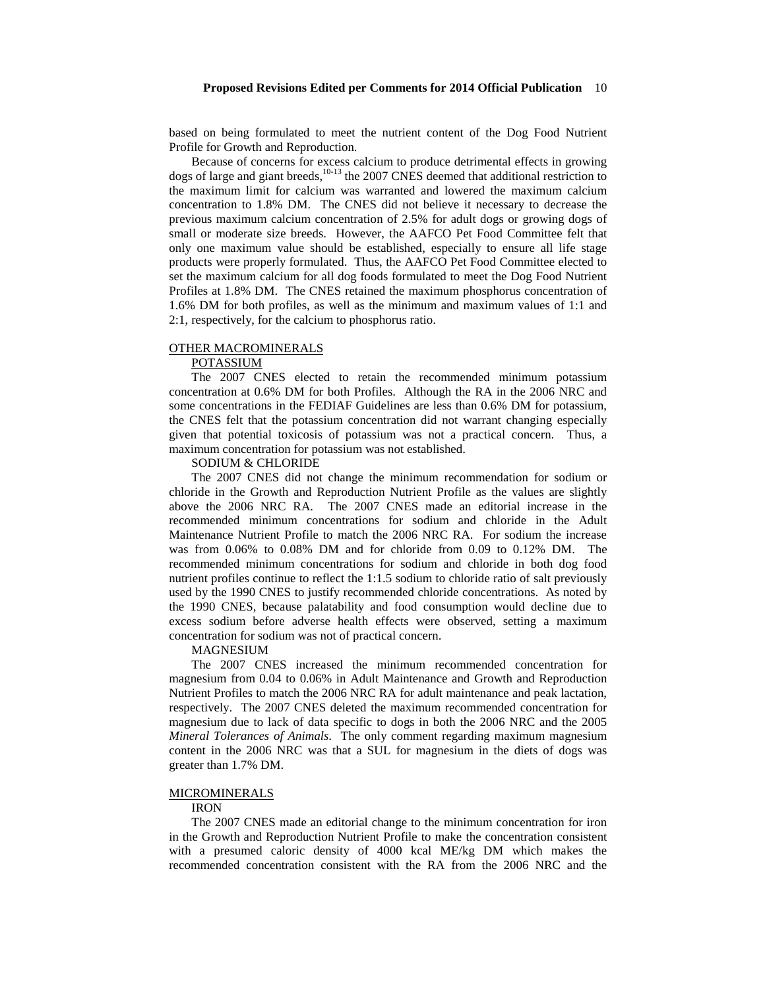based on being formulated to meet the nutrient content of the Dog Food Nutrient Profile for Growth and Reproduction.

Because of concerns for excess calcium to produce detrimental effects in growing dogs of large and giant breeds, <sup>10-13</sup> the 2007 CNES deemed that additional restriction to the maximum limit for calcium was warranted and lowered the maximum calcium concentration to 1.8% DM. The CNES did not believe it necessary to decrease the previous maximum calcium concentration of 2.5% for adult dogs or growing dogs of small or moderate size breeds. However, the AAFCO Pet Food Committee felt that only one maximum value should be established, especially to ensure all life stage products were properly formulated. Thus, the AAFCO Pet Food Committee elected to set the maximum calcium for all dog foods formulated to meet the Dog Food Nutrient Profiles at 1.8% DM. The CNES retained the maximum phosphorus concentration of 1.6% DM for both profiles, as well as the minimum and maximum values of 1:1 and 2:1, respectively, for the calcium to phosphorus ratio.

# OTHER MACROMINERALS

## POTASSIUM

The 2007 CNES elected to retain the recommended minimum potassium concentration at 0.6% DM for both Profiles. Although the RA in the 2006 NRC and some concentrations in the FEDIAF Guidelines are less than 0.6% DM for potassium, the CNES felt that the potassium concentration did not warrant changing especially given that potential toxicosis of potassium was not a practical concern. Thus, a maximum concentration for potassium was not established.

## SODIUM & CHLORIDE

The 2007 CNES did not change the minimum recommendation for sodium or chloride in the Growth and Reproduction Nutrient Profile as the values are slightly above the 2006 NRC RA. The 2007 CNES made an editorial increase in the recommended minimum concentrations for sodium and chloride in the Adult Maintenance Nutrient Profile to match the 2006 NRC RA. For sodium the increase was from 0.06% to 0.08% DM and for chloride from 0.09 to 0.12% DM. The recommended minimum concentrations for sodium and chloride in both dog food nutrient profiles continue to reflect the 1:1.5 sodium to chloride ratio of salt previously used by the 1990 CNES to justify recommended chloride concentrations. As noted by the 1990 CNES, because palatability and food consumption would decline due to excess sodium before adverse health effects were observed, setting a maximum concentration for sodium was not of practical concern.

#### MAGNESIUM

The 2007 CNES increased the minimum recommended concentration for magnesium from 0.04 to 0.06% in Adult Maintenance and Growth and Reproduction Nutrient Profiles to match the 2006 NRC RA for adult maintenance and peak lactation, respectively. The 2007 CNES deleted the maximum recommended concentration for magnesium due to lack of data specific to dogs in both the 2006 NRC and the 2005 *Mineral Tolerances of Animals*. The only comment regarding maximum magnesium content in the 2006 NRC was that a SUL for magnesium in the diets of dogs was greater than 1.7% DM.

#### MICROMINERALS

#### IRON

The 2007 CNES made an editorial change to the minimum concentration for iron in the Growth and Reproduction Nutrient Profile to make the concentration consistent with a presumed caloric density of 4000 kcal ME/kg DM which makes the recommended concentration consistent with the RA from the 2006 NRC and the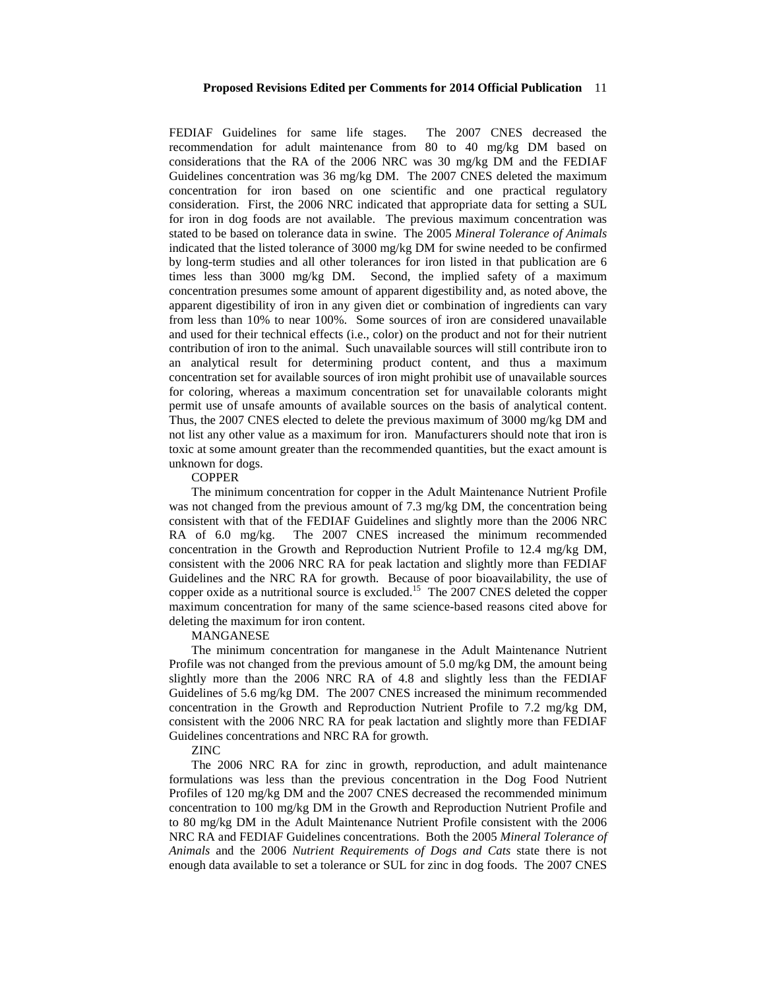FEDIAF Guidelines for same life stages. The 2007 CNES decreased the recommendation for adult maintenance from 80 to 40 mg/kg DM based on considerations that the RA of the 2006 NRC was 30 mg/kg DM and the FEDIAF Guidelines concentration was 36 mg/kg DM. The 2007 CNES deleted the maximum concentration for iron based on one scientific and one practical regulatory consideration. First, the 2006 NRC indicated that appropriate data for setting a SUL for iron in dog foods are not available. The previous maximum concentration was stated to be based on tolerance data in swine. The 2005 *Mineral Tolerance of Animals* indicated that the listed tolerance of 3000 mg/kg DM for swine needed to be confirmed by long-term studies and all other tolerances for iron listed in that publication are 6 times less than 3000 mg/kg DM. Second, the implied safety of a maximum concentration presumes some amount of apparent digestibility and, as noted above, the apparent digestibility of iron in any given diet or combination of ingredients can vary from less than 10% to near 100%. Some sources of iron are considered unavailable and used for their technical effects (i.e., color) on the product and not for their nutrient contribution of iron to the animal. Such unavailable sources will still contribute iron to an analytical result for determining product content, and thus a maximum concentration set for available sources of iron might prohibit use of unavailable sources for coloring, whereas a maximum concentration set for unavailable colorants might permit use of unsafe amounts of available sources on the basis of analytical content. Thus, the 2007 CNES elected to delete the previous maximum of 3000 mg/kg DM and not list any other value as a maximum for iron. Manufacturers should note that iron is toxic at some amount greater than the recommended quantities, but the exact amount is unknown for dogs.

#### **COPPER**

The minimum concentration for copper in the Adult Maintenance Nutrient Profile was not changed from the previous amount of 7.3 mg/kg DM, the concentration being consistent with that of the FEDIAF Guidelines and slightly more than the 2006 NRC RA of 6.0 mg/kg. The 2007 CNES increased the minimum recommended concentration in the Growth and Reproduction Nutrient Profile to 12.4 mg/kg DM, consistent with the 2006 NRC RA for peak lactation and slightly more than FEDIAF Guidelines and the NRC RA for growth. Because of poor bioavailability, the use of copper oxide as a nutritional source is excluded.<sup>15</sup> The 2007 CNES deleted the copper maximum concentration for many of the same science-based reasons cited above for deleting the maximum for iron content.

#### MANGANESE

The minimum concentration for manganese in the Adult Maintenance Nutrient Profile was not changed from the previous amount of 5.0 mg/kg DM, the amount being slightly more than the 2006 NRC RA of 4.8 and slightly less than the FEDIAF Guidelines of 5.6 mg/kg DM. The 2007 CNES increased the minimum recommended concentration in the Growth and Reproduction Nutrient Profile to 7.2 mg/kg DM, consistent with the 2006 NRC RA for peak lactation and slightly more than FEDIAF Guidelines concentrations and NRC RA for growth.

ZINC

The 2006 NRC RA for zinc in growth, reproduction, and adult maintenance formulations was less than the previous concentration in the Dog Food Nutrient Profiles of 120 mg/kg DM and the 2007 CNES decreased the recommended minimum concentration to 100 mg/kg DM in the Growth and Reproduction Nutrient Profile and to 80 mg/kg DM in the Adult Maintenance Nutrient Profile consistent with the 2006 NRC RA and FEDIAF Guidelines concentrations. Both the 2005 *Mineral Tolerance of Animals* and the 2006 *Nutrient Requirements of Dogs and Cats* state there is not enough data available to set a tolerance or SUL for zinc in dog foods. The 2007 CNES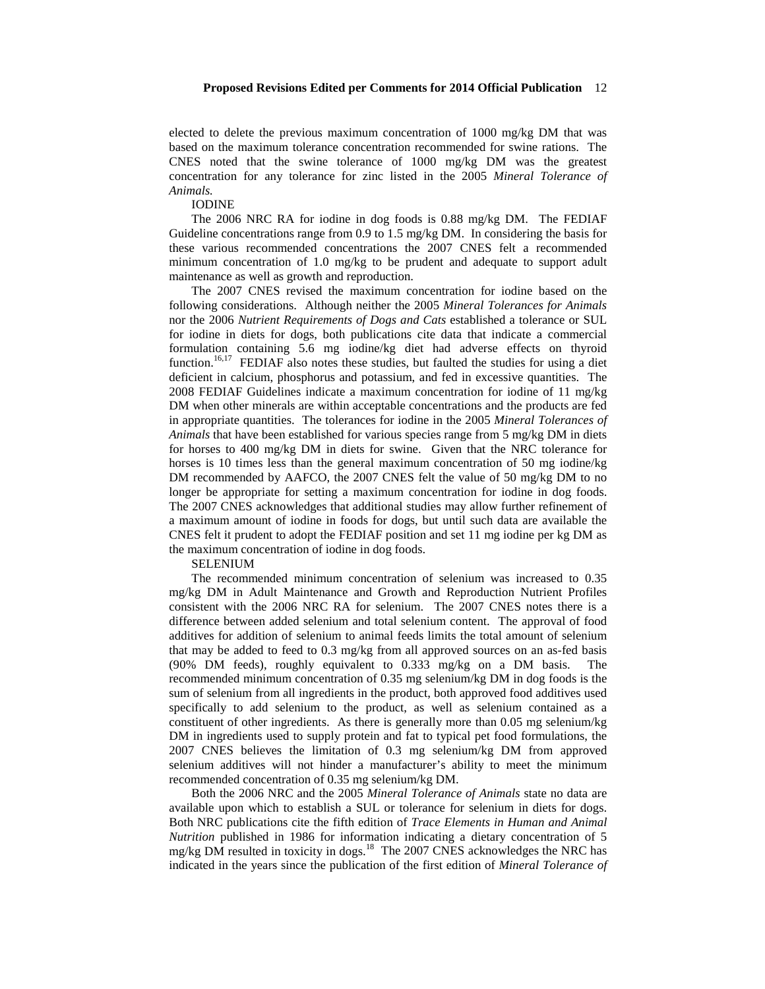elected to delete the previous maximum concentration of 1000 mg/kg DM that was based on the maximum tolerance concentration recommended for swine rations. The CNES noted that the swine tolerance of 1000 mg/kg DM was the greatest concentration for any tolerance for zinc listed in the 2005 *Mineral Tolerance of Animals.*

#### IODINE

The 2006 NRC RA for iodine in dog foods is 0.88 mg/kg DM. The FEDIAF Guideline concentrations range from 0.9 to 1.5 mg/kg DM. In considering the basis for these various recommended concentrations the 2007 CNES felt a recommended minimum concentration of 1.0 mg/kg to be prudent and adequate to support adult maintenance as well as growth and reproduction.

The 2007 CNES revised the maximum concentration for iodine based on the following considerations. Although neither the 2005 *Mineral Tolerances for Animals* nor the 2006 *Nutrient Requirements of Dogs and Cats* established a tolerance or SUL for iodine in diets for dogs, both publications cite data that indicate a commercial formulation containing 5.6 mg iodine/kg diet had adverse effects on thyroid function.<sup>16,17</sup> FEDIAF also notes these studies, but faulted the studies for using a diet deficient in calcium, phosphorus and potassium, and fed in excessive quantities. The 2008 FEDIAF Guidelines indicate a maximum concentration for iodine of 11 mg/kg DM when other minerals are within acceptable concentrations and the products are fed in appropriate quantities. The tolerances for iodine in the 2005 *Mineral Tolerances of Animals* that have been established for various species range from 5 mg/kg DM in diets for horses to 400 mg/kg DM in diets for swine. Given that the NRC tolerance for horses is 10 times less than the general maximum concentration of 50 mg iodine/kg DM recommended by AAFCO, the 2007 CNES felt the value of 50 mg/kg DM to no longer be appropriate for setting a maximum concentration for iodine in dog foods. The 2007 CNES acknowledges that additional studies may allow further refinement of a maximum amount of iodine in foods for dogs, but until such data are available the CNES felt it prudent to adopt the FEDIAF position and set 11 mg iodine per kg DM as the maximum concentration of iodine in dog foods.

#### SELENIUM

The recommended minimum concentration of selenium was increased to 0.35 mg/kg DM in Adult Maintenance and Growth and Reproduction Nutrient Profiles consistent with the 2006 NRC RA for selenium. The 2007 CNES notes there is a difference between added selenium and total selenium content. The approval of food additives for addition of selenium to animal feeds limits the total amount of selenium that may be added to feed to 0.3 mg/kg from all approved sources on an as-fed basis (90% DM feeds), roughly equivalent to 0.333 mg/kg on a DM basis. The recommended minimum concentration of 0.35 mg selenium/kg DM in dog foods is the sum of selenium from all ingredients in the product, both approved food additives used specifically to add selenium to the product, as well as selenium contained as a constituent of other ingredients. As there is generally more than 0.05 mg selenium/kg DM in ingredients used to supply protein and fat to typical pet food formulations, the 2007 CNES believes the limitation of 0.3 mg selenium/kg DM from approved selenium additives will not hinder a manufacturer's ability to meet the minimum recommended concentration of 0.35 mg selenium/kg DM.

Both the 2006 NRC and the 2005 *Mineral Tolerance of Animals* state no data are available upon which to establish a SUL or tolerance for selenium in diets for dogs. Both NRC publications cite the fifth edition of *Trace Elements in Human and Animal Nutrition* published in 1986 for information indicating a dietary concentration of 5 mg/kg DM resulted in toxicity in dogs.<sup>18</sup> The 2007 CNES acknowledges the NRC has indicated in the years since the publication of the first edition of *Mineral Tolerance of*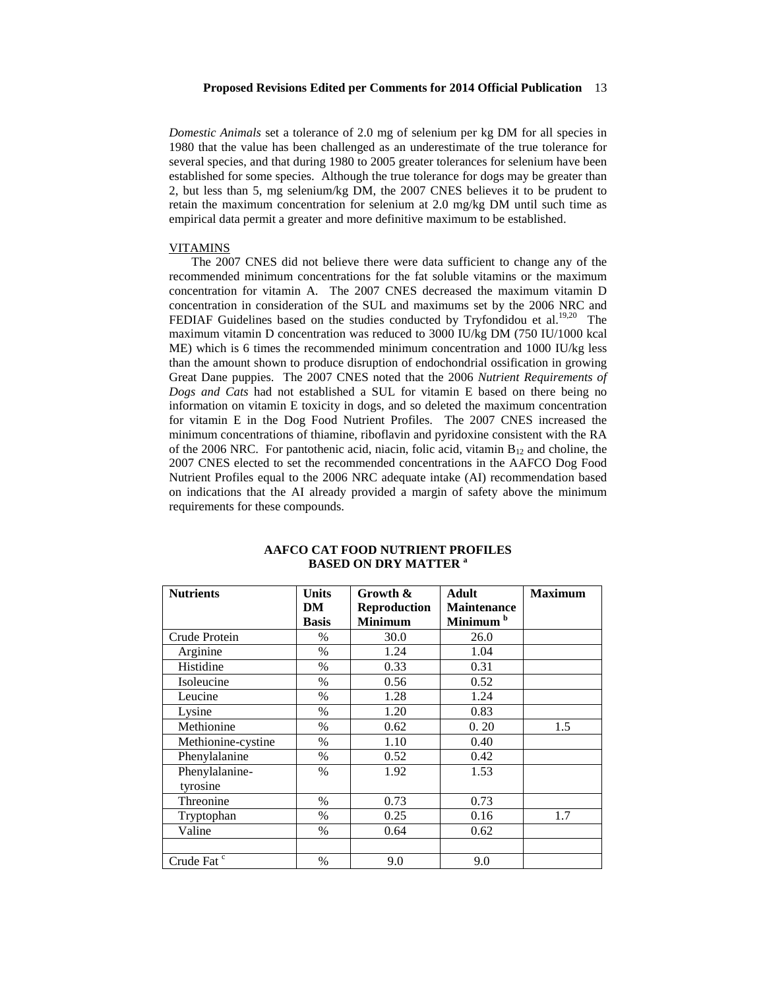*Domestic Animals* set a tolerance of 2.0 mg of selenium per kg DM for all species in 1980 that the value has been challenged as an underestimate of the true tolerance for several species, and that during 1980 to 2005 greater tolerances for selenium have been established for some species. Although the true tolerance for dogs may be greater than 2, but less than 5, mg selenium/kg DM, the 2007 CNES believes it to be prudent to retain the maximum concentration for selenium at 2.0 mg/kg DM until such time as empirical data permit a greater and more definitive maximum to be established.

#### VITAMINS

The 2007 CNES did not believe there were data sufficient to change any of the recommended minimum concentrations for the fat soluble vitamins or the maximum concentration for vitamin A. The 2007 CNES decreased the maximum vitamin D concentration in consideration of the SUL and maximums set by the 2006 NRC and FEDIAF Guidelines based on the studies conducted by Tryfondidou et al.<sup>19,20</sup> The maximum vitamin D concentration was reduced to 3000 IU/kg DM (750 IU/1000 kcal ME) which is 6 times the recommended minimum concentration and 1000 IU/kg less than the amount shown to produce disruption of endochondrial ossification in growing Great Dane puppies. The 2007 CNES noted that the 2006 *Nutrient Requirements of Dogs and Cats* had not established a SUL for vitamin E based on there being no information on vitamin E toxicity in dogs, and so deleted the maximum concentration for vitamin E in the Dog Food Nutrient Profiles. The 2007 CNES increased the minimum concentrations of thiamine, riboflavin and pyridoxine consistent with the RA of the 2006 NRC. For pantothenic acid, niacin, folic acid, vitamin  $B_{12}$  and choline, the 2007 CNES elected to set the recommended concentrations in the AAFCO Dog Food Nutrient Profiles equal to the 2006 NRC adequate intake (AI) recommendation based on indications that the AI already provided a margin of safety above the minimum requirements for these compounds.

| <b>Nutrients</b>       | <b>Units</b> | Growth &            | Adult                | <b>Maximum</b> |
|------------------------|--------------|---------------------|----------------------|----------------|
|                        | DM           | <b>Reproduction</b> | <b>Maintenance</b>   |                |
|                        | <b>Basis</b> | <b>Minimum</b>      | Minimum <sup>b</sup> |                |
| Crude Protein          | $\%$         | 30.0                | 26.0                 |                |
| Arginine               | $\%$         | 1.24                | 1.04                 |                |
| Histidine              | $\%$         | 0.33                | 0.31                 |                |
| Isoleucine             | $\%$         | 0.56                | 0.52                 |                |
| Leucine                | $\%$         | 1.28                | 1.24                 |                |
| Lysine                 | $\%$         | 1.20                | 0.83                 |                |
| Methionine             | $\%$         | 0.62                | 0.20                 | 1.5            |
| Methionine-cystine     | $\%$         | 1.10                | 0.40                 |                |
| Phenylalanine          | $\%$         | 0.52                | 0.42                 |                |
| Phenylalanine-         | $\%$         | 1.92                | 1.53                 |                |
| tyrosine               |              |                     |                      |                |
| Threonine              | $\%$         | 0.73                | 0.73                 |                |
| Tryptophan             | $\%$         | 0.25                | 0.16                 | 1.7            |
| Valine                 | $\%$         | 0.64                | 0.62                 |                |
|                        |              |                     |                      |                |
| Crude Fat <sup>c</sup> | $\%$         | 9.0                 | 9.0                  |                |

# **AAFCO CAT FOOD NUTRIENT PROFILES BASED ON DRY MATTER <sup>a</sup>**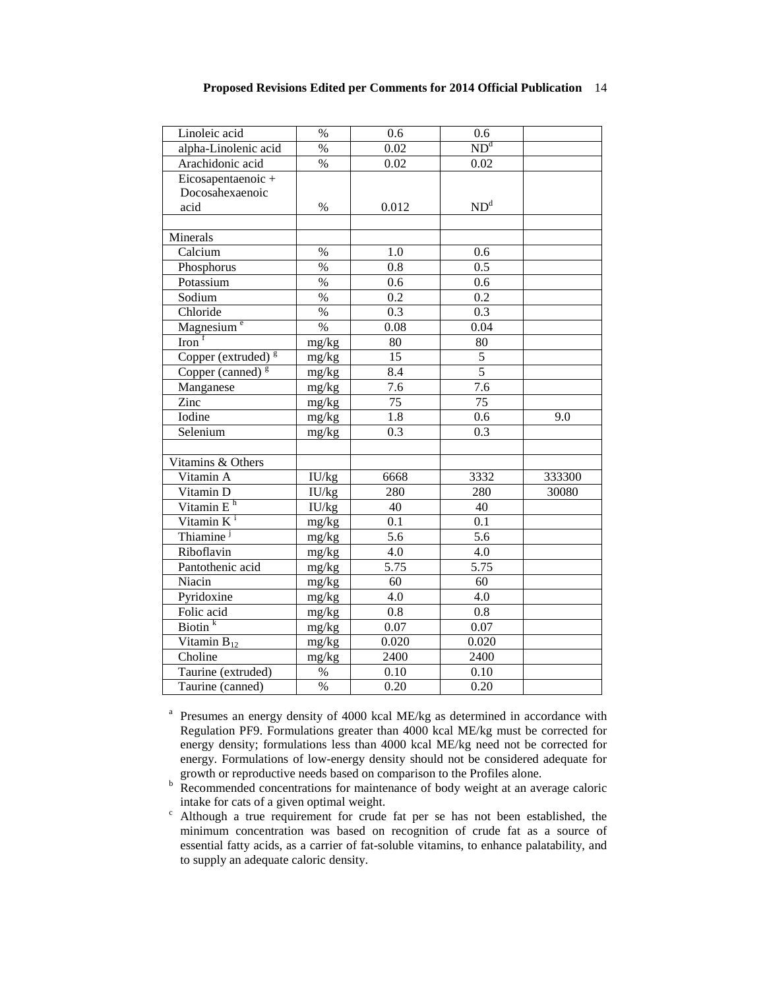| Linoleic acid                       | $\%$            | 0.6   | 0.6               |        |
|-------------------------------------|-----------------|-------|-------------------|--------|
| alpha-Linolenic acid                | $\%$            | 0.02  | ND <sup>d</sup>   |        |
| Arachidonic acid                    | $\%$            | 0.02  | 0.02              |        |
| Eicosapentaenoic +                  |                 |       |                   |        |
| Docosahexaenoic                     |                 |       |                   |        |
| acid                                | $\%$            | 0.012 | ND <sup>d</sup>   |        |
|                                     |                 |       |                   |        |
| Minerals                            |                 |       |                   |        |
| Calcium                             | $\%$            | 1.0   | 0.6               |        |
| Phosphorus                          | $\%$            | 0.8   | 0.5               |        |
| Potassium                           | $\%$            | 0.6   | 0.6               |        |
| Sodium                              | $\%$            | 0.2   | 0.2               |        |
| Chloride                            | $\%$            | 0.3   | 0.3               |        |
| Magnesium <sup>e</sup>              | $\%$            | 0.08  | 0.04              |        |
| $\overline{\text{Iron}}^{\text{f}}$ | mg/kg           | 80    | 80                |        |
| Copper (extruded) <sup>g</sup>      | mg/kg           | 15    | 5                 |        |
| Copper (canned) $g$                 | mg/kg           | 8.4   | $\overline{5}$    |        |
| Manganese                           | mg/kg           | 7.6   | $\overline{7.6}$  |        |
| Zinc                                | mg/kg           | 75    | 75                |        |
| Iodine                              | mg/kg           | 1.8   | 0.6               | 9.0    |
| Selenium                            | mg/kg           | 0.3   | 0.3               |        |
|                                     |                 |       |                   |        |
| Vitamins & Others                   |                 |       |                   |        |
| Vitamin A                           | IU/kg           | 6668  | 3332              | 333300 |
| Vitamin D                           | IU/kg           | 280   | 280               | 30080  |
| Vitamin $Eh$                        | IU/kg           | 40    | 40                |        |
| Vitamin $K^i$                       | mg/kg           | 0.1   | 0.1               |        |
| Thiamine <sup>j</sup>               | mg/kg           | 5.6   | 5.6               |        |
| Riboflavin                          | mg/kg           | 4.0   | 4.0               |        |
| Pantothenic acid                    | mg/kg           | 5.75  | 5.75              |        |
| Niacin                              | mg/kg           | 60    | 60                |        |
| Pyridoxine                          | mg/kg           | 4.0   | 4.0               |        |
| Folic acid                          | mg/kg           | 0.8   | 0.8               |        |
| $\overline{\text{Biotin}}^k$        | mg/kg           | 0.07  | 0.07              |        |
| Vitamin $B_{12}$                    | mg/kg           | 0.020 | 0.020             |        |
| Choline                             | mg/kg           | 2400  | 2400              |        |
| Taurine (extruded)                  | $\%$            | 0.10  | 0.10              |        |
| Taurine (canned)                    | $\overline{\%}$ | 0.20  | $\overline{0.20}$ |        |

<sup>a</sup> Presumes an energy density of 4000 kcal ME/kg as determined in accordance with Regulation PF9. Formulations greater than 4000 kcal ME/kg must be corrected for energy density; formulations less than 4000 kcal ME/kg need not be corrected for energy. Formulations of low-energy density should not be considered adequate for growth or reproductive needs based on comparison to the Profiles alone.

 $\overrightarrow{P}$  Recommended concentrations for maintenance of body weight at an average caloric intake for cats of a given optimal weight.<br>c Although a true requirement for crude fat per se has not been established, the

minimum concentration was based on recognition of crude fat as a source of essential fatty acids, as a carrier of fat-soluble vitamins, to enhance palatability, and to supply an adequate caloric density.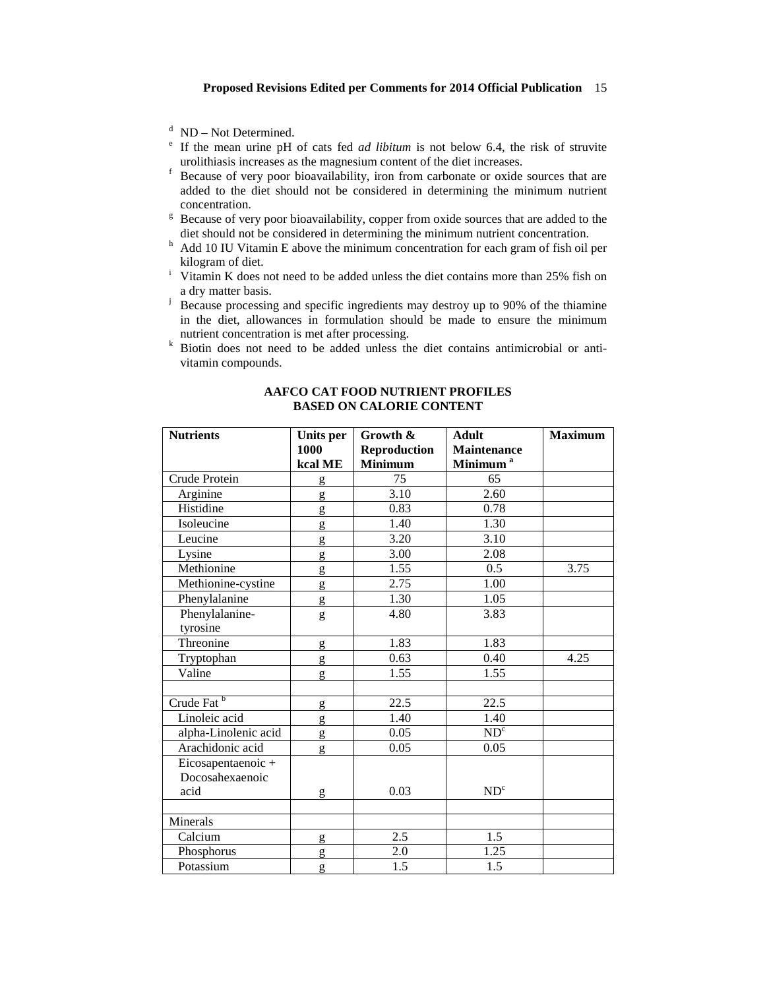- 
- <sup>d</sup> ND Not Determined.<br><sup>e</sup> If the mean urine pH of cats fed *ad libitum* is not below 6.4, the risk of struvite urolithiasis increases as the magnesium content of the diet increases. <sup>f</sup> Because of very poor bioavailability, iron from carbonate or oxide sources that are
- added to the diet should not be considered in determining the minimum nutrient
- <sup>g</sup> Because of very poor bioavailability, copper from oxide sources that are added to the diet should not be considered in determining the minimum nutrient concentration.
- $h$  Add 10 IU Vitamin E above the minimum concentration for each gram of fish oil per kilogram of diet.
- <sup>i</sup> Vitamin K does not need to be added unless the diet contains more than 25% fish on a dry matter basis.
- <sup>j</sup> Because processing and specific ingredients may destroy up to 90% of the thiamine in the diet, allowances in formulation should be made to ensure the minimum nutrient concentration is met after processing.<br><sup>k</sup> Biotin does not need to be added unless the diet contains antimicrobial or anti-
- vitamin compounds.

| <b>Nutrients</b>       | Units per    | Growth &            | <b>Adult</b>         | <b>Maximum</b> |
|------------------------|--------------|---------------------|----------------------|----------------|
|                        | 1000         | <b>Reproduction</b> | <b>Maintenance</b>   |                |
|                        | kcal ME      | <b>Minimum</b>      | Minimum <sup>a</sup> |                |
| Crude Protein          | $\mathbf{g}$ | $\overline{75}$     | 65                   |                |
| Arginine               | g            | $\overline{3.10}$   | 2.60                 |                |
| Histidine              | g            | 0.83                | 0.78                 |                |
| Isoleucine             | g            | 1.40                | 1.30                 |                |
| Leucine                | g            | 3.20                | 3.10                 |                |
| Lysine                 | g            | 3.00                | 2.08                 |                |
| Methionine             | g            | 1.55                | 0.5                  | 3.75           |
| Methionine-cystine     | g            | 2.75                | $\overline{1.00}$    |                |
| Phenylalanine          | g            | 1.30                | 1.05                 |                |
| Phenylalanine-         | g            | 4.80                | 3.83                 |                |
| tyrosine               |              |                     |                      |                |
| Threonine              | g            | 1.83                | 1.83                 |                |
| Tryptophan             | g            | 0.63                | 0.40                 | 4.25           |
| Valine                 | g            | 1.55                | 1.55                 |                |
|                        |              |                     |                      |                |
| Crude Fat <sup>b</sup> | g            | 22.5                | 22.5                 |                |
| Linoleic acid          | g            | 1.40                | 1.40                 |                |
| alpha-Linolenic acid   | g            | 0.05                | ND <sup>c</sup>      |                |
| Arachidonic acid       | g            | 0.05                | 0.05                 |                |
| Eicosapentaenoic+      |              |                     |                      |                |
| Docosahexaenoic        |              |                     |                      |                |
| acid                   | g            | 0.03                | ND <sup>c</sup>      |                |
|                        |              |                     |                      |                |
| Minerals               |              |                     |                      |                |
| Calcium                | g            | 2.5                 | 1.5                  |                |
| Phosphorus             | g            | 2.0                 | 1.25                 |                |
| Potassium              | g            | 1.5                 | 1.5                  |                |

# **AAFCO CAT FOOD NUTRIENT PROFILES BASED ON CALORIE CONTENT**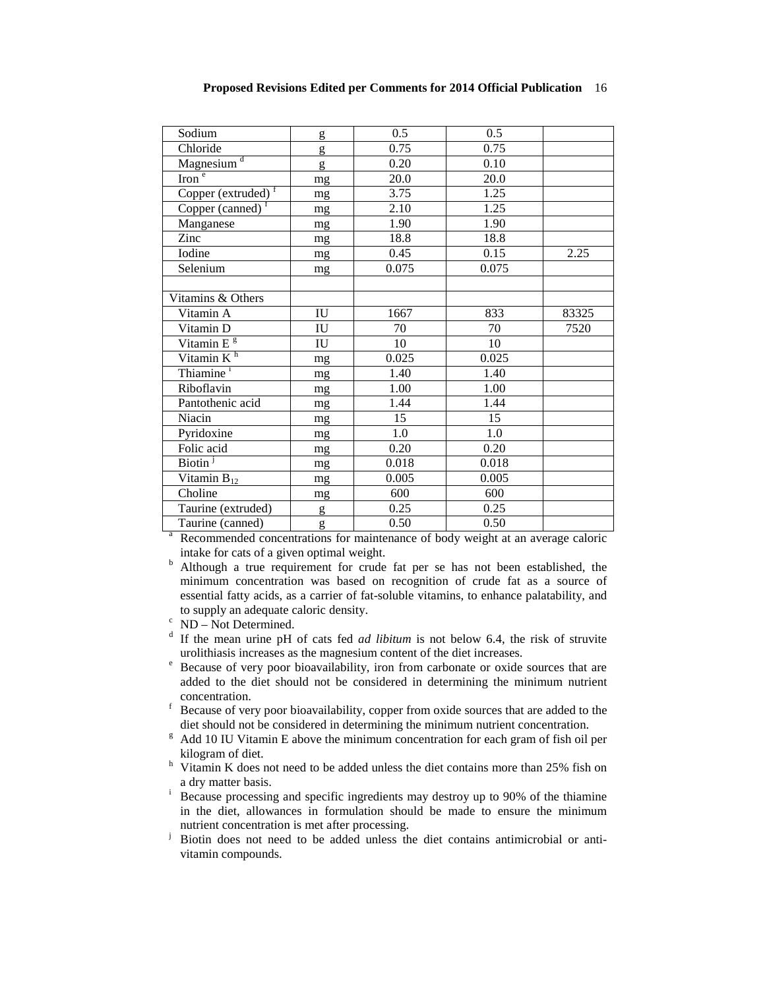| Sodium                 | g                      | 0.5   | 0.5   |       |
|------------------------|------------------------|-------|-------|-------|
| Chloride               | g                      | 0.75  | 0.75  |       |
| Magnesium <sup>d</sup> | g                      | 0.20  | 0.10  |       |
| Iron $\overline{e}$    | mg                     | 20.0  | 20.0  |       |
| Copper (extruded) $f$  | mg                     | 3.75  | 1.25  |       |
| Copper (canned) $f$    | mg                     | 2.10  | 1.25  |       |
| Manganese              | mg                     | 1.90  | 1.90  |       |
| Zinc                   | mg                     | 18.8  | 18.8  |       |
| Iodine                 | mg                     | 0.45  | 0.15  | 2.25  |
| Selenium               | mg                     | 0.075 | 0.075 |       |
|                        |                        |       |       |       |
| Vitamins & Others      |                        |       |       |       |
| Vitamin A              | ${\rm IU}$             | 1667  | 833   | 83325 |
| Vitamin D              | $\mathbf{I}\mathbf{U}$ | 70    | 70    | 7520  |
| Vitamin E <sup>g</sup> | IU                     | 10    | 10    |       |
| Vitamin $K^h$          | mg                     | 0.025 | 0.025 |       |
| Thiamine <sup>i</sup>  | mg                     | 1.40  | 1.40  |       |
| Riboflavin             | mg                     | 1.00  | 1.00  |       |
| Pantothenic acid       | mg                     | 1.44  | 1.44  |       |
| Niacin                 | mg                     | 15    | 15    |       |
| Pyridoxine             | mg                     | 1.0   | 1.0   |       |
| Folic acid             | mg                     | 0.20  | 0.20  |       |
| Biotin <sup>j</sup>    | mg                     | 0.018 | 0.018 |       |
| Vitamin $B_{12}$       | mg                     | 0.005 | 0.005 |       |
| Choline                | mg                     | 600   | 600   |       |
| Taurine (extruded)     | g                      | 0.25  | 0.25  |       |
| Taurine (canned)       | g                      | 0.50  | 0.50  |       |

Recommended concentrations for maintenance of body weight at an average caloric intake for cats of a given optimal weight.

 $\overline{a}$  Although a true requirement for crude fat per se has not been established, the minimum concentration was based on recognition of crude fat as a source of essential fatty acids, as a carrier of fat-soluble vitamins, to enhance palatability, and

- 
- to supply an adequate caloric density.<br><sup>c</sup> ND Not Determined.<br><sup>d</sup> If the mean urine pH of cats fed *ad libitum* is not below 6.4, the risk of struvite urolithiasis increases as the magnesium content of the diet increase
- Because of very poor bioavailability, iron from carbonate or oxide sources that are added to the diet should not be considered in determining the minimum nutrient
- f Because of very poor bioavailability, copper from oxide sources that are added to the diet should not be considered in determining the minimum nutrient concentration.
- $\beta$  Add 10 IU Vitamin E above the minimum concentration for each gram of fish oil per kilogram of diet.<br>
<sup>h</sup> Vitamin K does not need to be added unless the diet contains more than 25% fish on
- a dry matter basis.<br>i Because processing and specific ingredients may destroy up to 90% of the thiamine
- in the diet, allowances in formulation should be made to ensure the minimum nutrient concentration is met after processing.
- <sup>j</sup> Biotin does not need to be added unless the diet contains antimicrobial or antivitamin compounds.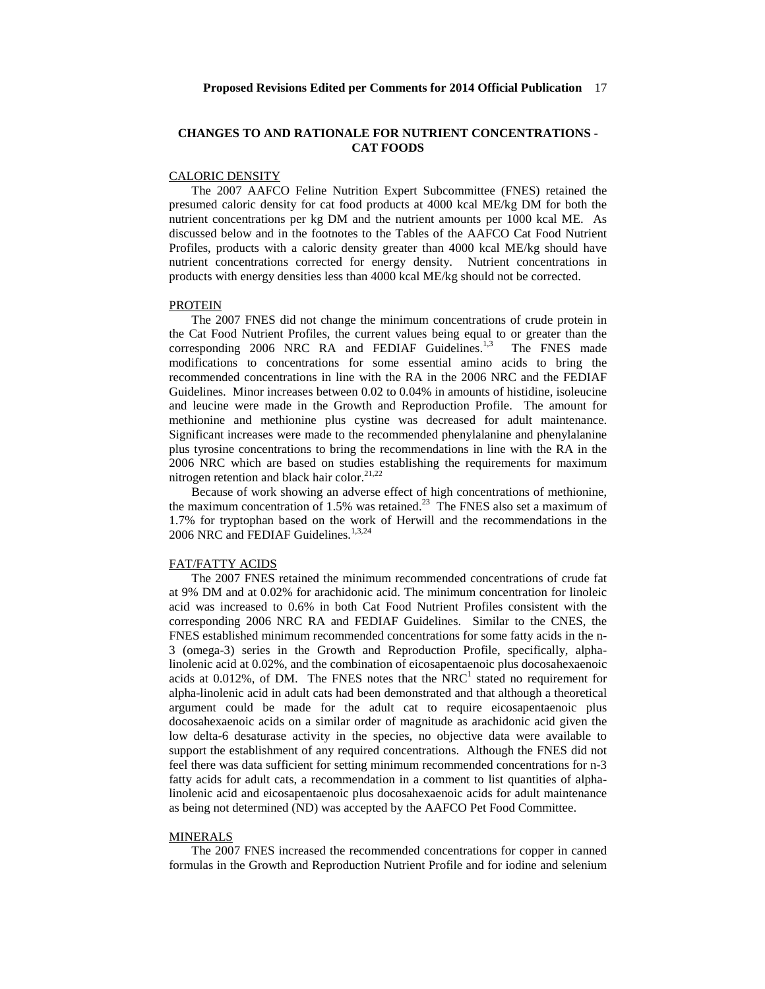# **CHANGES TO AND RATIONALE FOR NUTRIENT CONCENTRATIONS - CAT FOODS**

# CALORIC DENSITY

The 2007 AAFCO Feline Nutrition Expert Subcommittee (FNES) retained the presumed caloric density for cat food products at 4000 kcal ME/kg DM for both the nutrient concentrations per kg DM and the nutrient amounts per 1000 kcal ME. As discussed below and in the footnotes to the Tables of the AAFCO Cat Food Nutrient Profiles, products with a caloric density greater than 4000 kcal ME/kg should have nutrient concentrations corrected for energy density. Nutrient concentrations in products with energy densities less than 4000 kcal ME/kg should not be corrected.

## PROTEIN

The 2007 FNES did not change the minimum concentrations of crude protein in the Cat Food Nutrient Profiles, the current values being equal to or greater than the corresponding 2006 NRC RA and FEDIAF Guidelines.<sup>1,3</sup> The FNES made modifications to concentrations for some essential amino acids to bring the recommended concentrations in line with the RA in the 2006 NRC and the FEDIAF Guidelines. Minor increases between 0.02 to 0.04% in amounts of histidine, isoleucine and leucine were made in the Growth and Reproduction Profile. The amount for methionine and methionine plus cystine was decreased for adult maintenance. Significant increases were made to the recommended phenylalanine and phenylalanine plus tyrosine concentrations to bring the recommendations in line with the RA in the 2006 NRC which are based on studies establishing the requirements for maximum nitrogen retention and black hair color.<sup>21,22</sup>

Because of work showing an adverse effect of high concentrations of methionine, the maximum concentration of 1.5% was retained.<sup>23</sup> The FNES also set a maximum of 1.7% for tryptophan based on the work of Herwill and the recommendations in the 2006 NRC and FEDIAF Guidelines. 1,3,24

# FAT/FATTY ACIDS

The 2007 FNES retained the minimum recommended concentrations of crude fat at 9% DM and at 0.02% for arachidonic acid. The minimum concentration for linoleic acid was increased to 0.6% in both Cat Food Nutrient Profiles consistent with the corresponding 2006 NRC RA and FEDIAF Guidelines. Similar to the CNES, the FNES established minimum recommended concentrations for some fatty acids in the n-3 (omega-3) series in the Growth and Reproduction Profile, specifically, alphalinolenic acid at 0.02%, and the combination of eicosapentaenoic plus docosahexaenoic acids at  $0.012\%$ , of DM. The FNES notes that the  $NRC<sup>1</sup>$  stated no requirement for alpha-linolenic acid in adult cats had been demonstrated and that although a theoretical argument could be made for the adult cat to require eicosapentaenoic plus docosahexaenoic acids on a similar order of magnitude as arachidonic acid given the low delta-6 desaturase activity in the species, no objective data were available to support the establishment of any required concentrations. Although the FNES did not feel there was data sufficient for setting minimum recommended concentrations for n-3 fatty acids for adult cats, a recommendation in a comment to list quantities of alphalinolenic acid and eicosapentaenoic plus docosahexaenoic acids for adult maintenance as being not determined (ND) was accepted by the AAFCO Pet Food Committee.

## MINERALS

The 2007 FNES increased the recommended concentrations for copper in canned formulas in the Growth and Reproduction Nutrient Profile and for iodine and selenium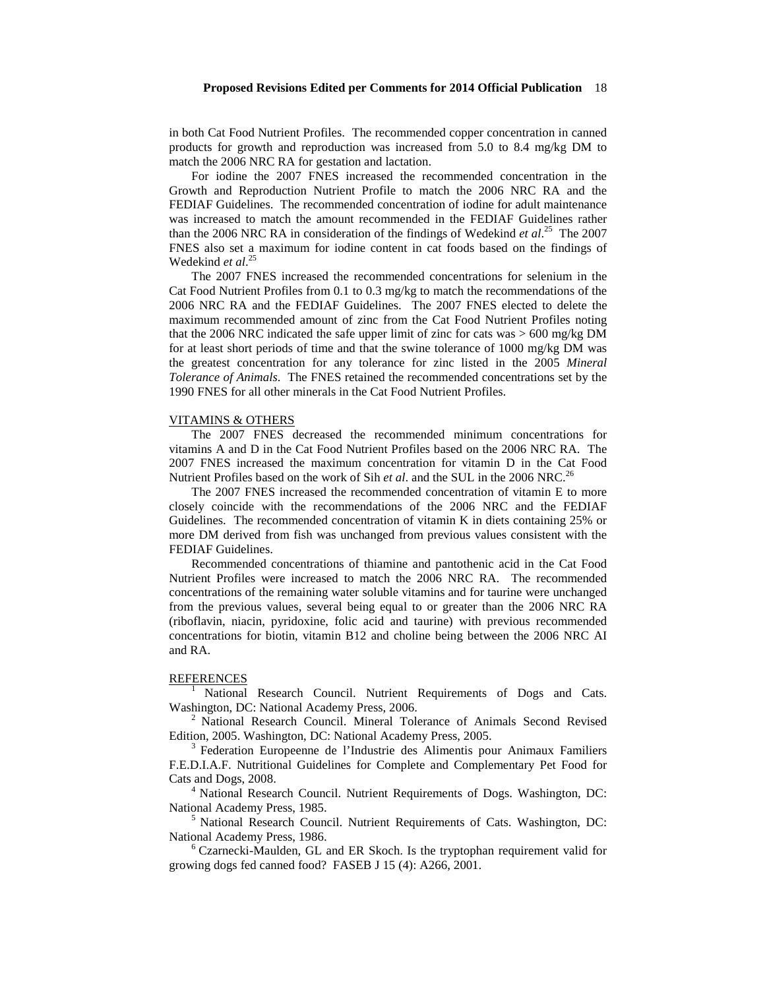in both Cat Food Nutrient Profiles. The recommended copper concentration in canned products for growth and reproduction was increased from 5.0 to 8.4 mg/kg DM to match the 2006 NRC RA for gestation and lactation.

For iodine the 2007 FNES increased the recommended concentration in the Growth and Reproduction Nutrient Profile to match the 2006 NRC RA and the FEDIAF Guidelines. The recommended concentration of iodine for adult maintenance was increased to match the amount recommended in the FEDIAF Guidelines rather than the 2006 NRC RA in consideration of the findings of Wedekind *et al.*<sup>25</sup> The 2007 FNES also set a maximum for iodine content in cat foods based on the findings of Wedekind *et al*. 25

The 2007 FNES increased the recommended concentrations for selenium in the Cat Food Nutrient Profiles from 0.1 to 0.3 mg/kg to match the recommendations of the 2006 NRC RA and the FEDIAF Guidelines. The 2007 FNES elected to delete the maximum recommended amount of zinc from the Cat Food Nutrient Profiles noting that the 2006 NRC indicated the safe upper limit of zinc for cats was > 600 mg/kg DM for at least short periods of time and that the swine tolerance of 1000 mg/kg DM was the greatest concentration for any tolerance for zinc listed in the 2005 *Mineral Tolerance of Animals*. The FNES retained the recommended concentrations set by the 1990 FNES for all other minerals in the Cat Food Nutrient Profiles.

#### VITAMINS & OTHERS

The 2007 FNES decreased the recommended minimum concentrations for vitamins A and D in the Cat Food Nutrient Profiles based on the 2006 NRC RA. The 2007 FNES increased the maximum concentration for vitamin D in the Cat Food Nutrient Profiles based on the work of Sih *et al*. and the SUL in the 2006 NRC.<sup>26</sup>

The 2007 FNES increased the recommended concentration of vitamin E to more closely coincide with the recommendations of the 2006 NRC and the FEDIAF Guidelines. The recommended concentration of vitamin K in diets containing 25% or more DM derived from fish was unchanged from previous values consistent with the FEDIAF Guidelines.

Recommended concentrations of thiamine and pantothenic acid in the Cat Food Nutrient Profiles were increased to match the 2006 NRC RA. The recommended concentrations of the remaining water soluble vitamins and for taurine were unchanged from the previous values, several being equal to or greater than the 2006 NRC RA (riboflavin, niacin, pyridoxine, folic acid and taurine) with previous recommended concentrations for biotin, vitamin B12 and choline being between the 2006 NRC AI and RA.

REFERENCES<br><sup>1</sup> National Research Council. Nutrient Requirements of Dogs and Cats. Washington, DC: National Academy Press, 2006.

 $^{2}$  National Research Council. Mineral Tolerance of Animals Second Revised Edition, 2005. Washington, DC: National Academy Press, 2005.

<sup>3</sup> Federation, Europeenne de l'Industrie des Alimentis pour Animaux Familiers F.E.D.I.A.F. Nutritional Guidelines for Complete and Complementary Pet Food for Cats and Dogs, 2008. 4 National Research Council. Nutrient Requirements of Dogs. Washington, DC:

National Academy Press, 1985.<br><sup>5</sup> National Research Council. Nutrient Requirements of Cats. Washington, DC:

National Academy Press, 1986.<br><sup>6</sup> Czarnecki-Maulden, GL and ER Skoch. Is the tryptophan requirement valid for

growing dogs fed canned food? FASEB J 15 (4): A266, 2001.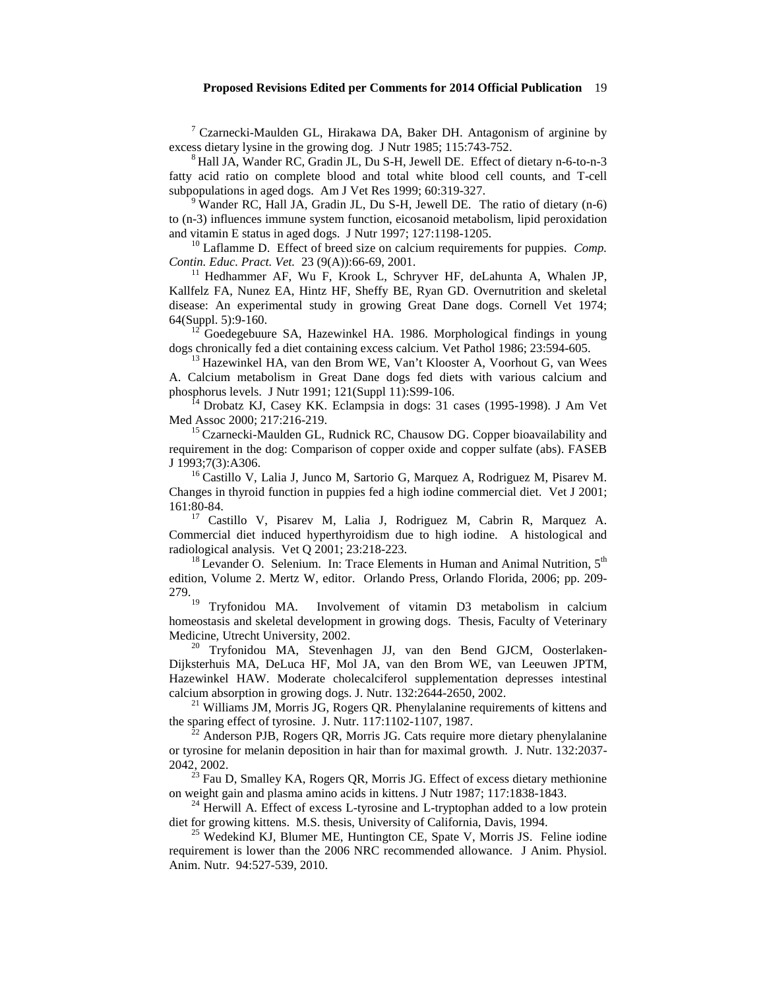<sup>7</sup> Czarnecki-Maulden GL, Hirakawa DA, Baker DH. Antagonism of arginine by excess dietary lysine in the growing dog. J Nutr 1985; 115:743-752.

<sup>8</sup> Hall JA, Wander RC, Gradin JL, Du S-H, Jewell DE. Effect of dietary n-6-to-n-3 fatty acid ratio on complete blood and total white blood cell counts, and T-cell subpopulations in aged dogs. Am J Vet Res 1999; 60:319-327.<br><sup>9</sup> Wander RC, Hall JA, Gradin JL, Du S-H, Jewell DE. The ratio of dietary (n-6)

to (n-3) influences immune system function, eicosanoid metabolism, lipid peroxidation

<sup>10</sup> Laflamme D. Effect of breed size on calcium requirements for puppies. *Comp. Contin. Educ. Pract. Vet.* 23 (9(A)):66-69, 2001.

<sup>11</sup> Hedhammer AF, Wu F, Krook L, Schryver HF, deLahunta A, Whalen JP, Kallfelz FA, Nunez EA, Hintz HF, Sheffy BE, Ryan GD. Overnutrition and skeletal disease: An experimental study in growing Great Dane dogs. Cornell Vet 1974;

64(Suppl. 5):9-160.<br><sup>12</sup> Goedegebuure SA, Hazewinkel HA. 1986. Morphological findings in young dogs chronically fed a diet containing excess calcium. Vet Pathol 1986; 23:594-605.

 $^{13}$  Hazewinkel HA, van den Brom WE, Van't Klooster A, Voorhout G, van Wees A. Calcium metabolism in Great Dane dogs fed diets with various calcium and

 $14$  Drobatz KJ, Casey KK. Eclampsia in dogs: 31 cases (1995-1998). J Am Vet Med Assoc 2000; 217:216-219.

 $^{15}$  Czarnecki-Maulden GL, Rudnick RC, Chausow DG. Copper bioavailability and requirement in the dog: Comparison of copper oxide and copper sulfate (abs). FASEB J 1993;7(3):A306.<br><sup>16</sup> Castillo V, Lalia J, Junco M, Sartorio G, Marquez A, Rodriguez M, Pisarev M.

Changes in thyroid function in puppies fed a high iodine commercial diet. Vet J 2001; 161:80-84. <sup>17</sup> Castillo V, Pisarev M, Lalia J, Rodriguez M, Cabrin R, Marquez A.

Commercial diet induced hyperthyroidism due to high iodine. A histological and radiological analysis. Vet Q 2001; 23:218-223.

<sup>18</sup> Levander O. Selenium. In: Trace Elements in Human and Animal Nutrition.  $5<sup>th</sup>$ edition, Volume 2. Mertz W, editor. Orlando Press, Orlando Florida, 2006; pp. 209- 279.

<sup>19</sup> Tryfonidou MA. Involvement of vitamin D3 metabolism in calcium homeostasis and skeletal development in growing dogs. Thesis, Faculty of Veterinary Medicine, Utrecht University, 2002.<br><sup>20</sup> Tryfonidou MA, Stevenhagen JJ, van den Bend GJCM, Oosterlaken-

Dijksterhuis MA, DeLuca HF, Mol JA, van den Brom WE, van Leeuwen JPTM, Hazewinkel HAW. Moderate cholecalciferol supplementation depresses intestinal calcium absorption in growing dogs. J. Nutr. 132:2644-2650, 2002.

<sup>21</sup> Williams JM, Morris JG, Rogers QR. Phenylalanine requirements of kittens and the sparing effect of tyrosine. J. Nutr. 117:1102-1107, 1987.

Anderson PJB, Rogers QR, Morris JG. Cats require more dietary phenylalanine or tyrosine for melanin deposition in hair than for maximal growth. J. Nutr. 132:2037-

2042, 2002.<br><sup>23</sup> Fau D, Smalley KA, Rogers QR, Morris JG. Effect of excess dietary methionine<br>on weight gain and plasma amino acids in kittens. J Nutr 1987; 117:1838-1843.

<sup>24</sup> Herwill A. Effect of excess L-tyrosine and L-tryptophan added to a low protein diet for growing kittens. M.S. thesis, University of California, Davis, 1994.

 $^{25}$  Wedekind KJ, Blumer ME, Huntington CE, Spate V, Morris JS. Feline iodine requirement is lower than the 2006 NRC recommended allowance. J Anim. Physiol. Anim. Nutr. 94:527-539, 2010.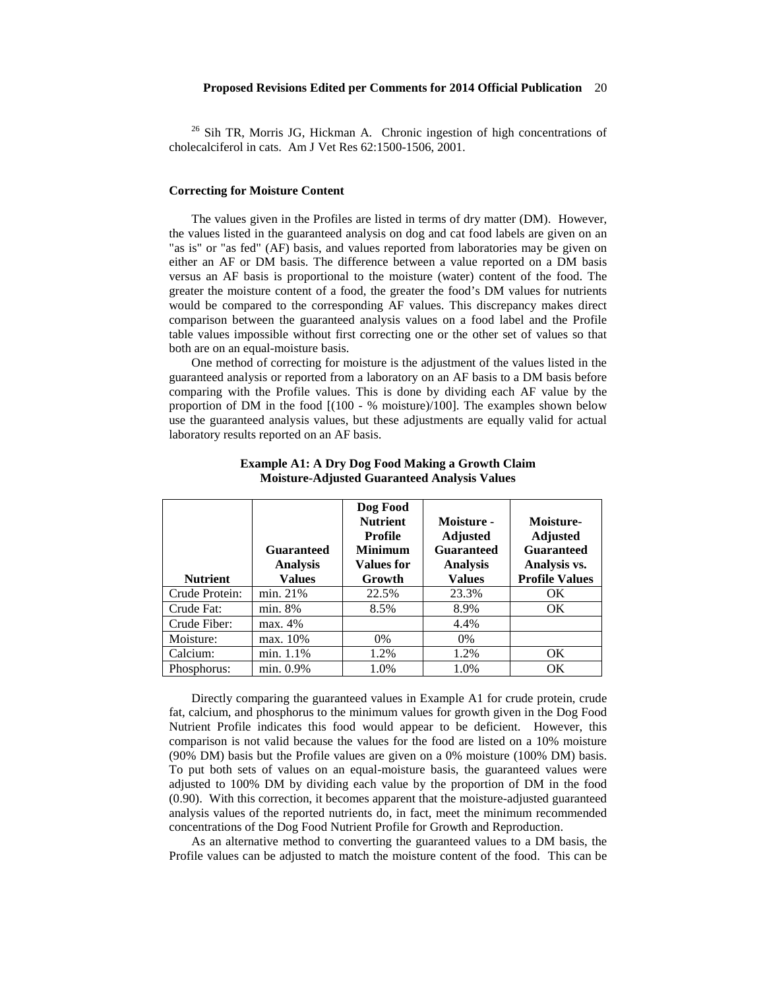<sup>26</sup> Sih TR, Morris JG, Hickman A. Chronic ingestion of high concentrations of cholecalciferol in cats. Am J Vet Res 62:1500-1506, 2001.

#### **Correcting for Moisture Content**

The values given in the Profiles are listed in terms of dry matter (DM). However, the values listed in the guaranteed analysis on dog and cat food labels are given on an "as is" or "as fed" (AF) basis, and values reported from laboratories may be given on either an AF or DM basis. The difference between a value reported on a DM basis versus an AF basis is proportional to the moisture (water) content of the food. The greater the moisture content of a food, the greater the food's DM values for nutrients would be compared to the corresponding AF values. This discrepancy makes direct comparison between the guaranteed analysis values on a food label and the Profile table values impossible without first correcting one or the other set of values so that both are on an equal-moisture basis.

One method of correcting for moisture is the adjustment of the values listed in the guaranteed analysis or reported from a laboratory on an AF basis to a DM basis before comparing with the Profile values. This is done by dividing each AF value by the proportion of DM in the food [(100 - % moisture)/100]. The examples shown below use the guaranteed analysis values, but these adjustments are equally valid for actual laboratory results reported on an AF basis.

| <b>Nutrient</b> | <b>Guaranteed</b><br><b>Analysis</b><br>Values | Dog Food<br><b>Nutrient</b><br>Profile<br><b>Minimum</b><br><b>Values for</b><br>Growth | Moisture -<br><b>Adjusted</b><br><b>Guaranteed</b><br><b>Analysis</b><br><b>Values</b> | Moisture-<br><b>Adjusted</b><br><b>Guaranteed</b><br>Analysis vs.<br><b>Profile Values</b> |
|-----------------|------------------------------------------------|-----------------------------------------------------------------------------------------|----------------------------------------------------------------------------------------|--------------------------------------------------------------------------------------------|
| Crude Protein:  | min. 21%                                       | 22.5%                                                                                   | 23.3%                                                                                  | OK.                                                                                        |
| Crude Fat:      | min. 8%                                        | 8.5%                                                                                    | 8.9%                                                                                   | OK.                                                                                        |
| Crude Fiber:    | max. 4%                                        |                                                                                         | 4.4%                                                                                   |                                                                                            |
| Moisture:       | max. 10%                                       | $0\%$                                                                                   | 0%                                                                                     |                                                                                            |
| Calcium:        | min. 1.1%                                      | 1.2%                                                                                    | 1.2%                                                                                   | OK                                                                                         |
| Phosphorus:     | min. 0.9%                                      | 1.0%                                                                                    | 1.0%                                                                                   | OK                                                                                         |

# **Example A1: A Dry Dog Food Making a Growth Claim Moisture-Adjusted Guaranteed Analysis Values**

Directly comparing the guaranteed values in Example A1 for crude protein, crude fat, calcium, and phosphorus to the minimum values for growth given in the Dog Food Nutrient Profile indicates this food would appear to be deficient. However, this comparison is not valid because the values for the food are listed on a 10% moisture (90% DM) basis but the Profile values are given on a 0% moisture (100% DM) basis. To put both sets of values on an equal-moisture basis, the guaranteed values were adjusted to 100% DM by dividing each value by the proportion of DM in the food (0.90). With this correction, it becomes apparent that the moisture-adjusted guaranteed analysis values of the reported nutrients do, in fact, meet the minimum recommended concentrations of the Dog Food Nutrient Profile for Growth and Reproduction.

As an alternative method to converting the guaranteed values to a DM basis, the Profile values can be adjusted to match the moisture content of the food. This can be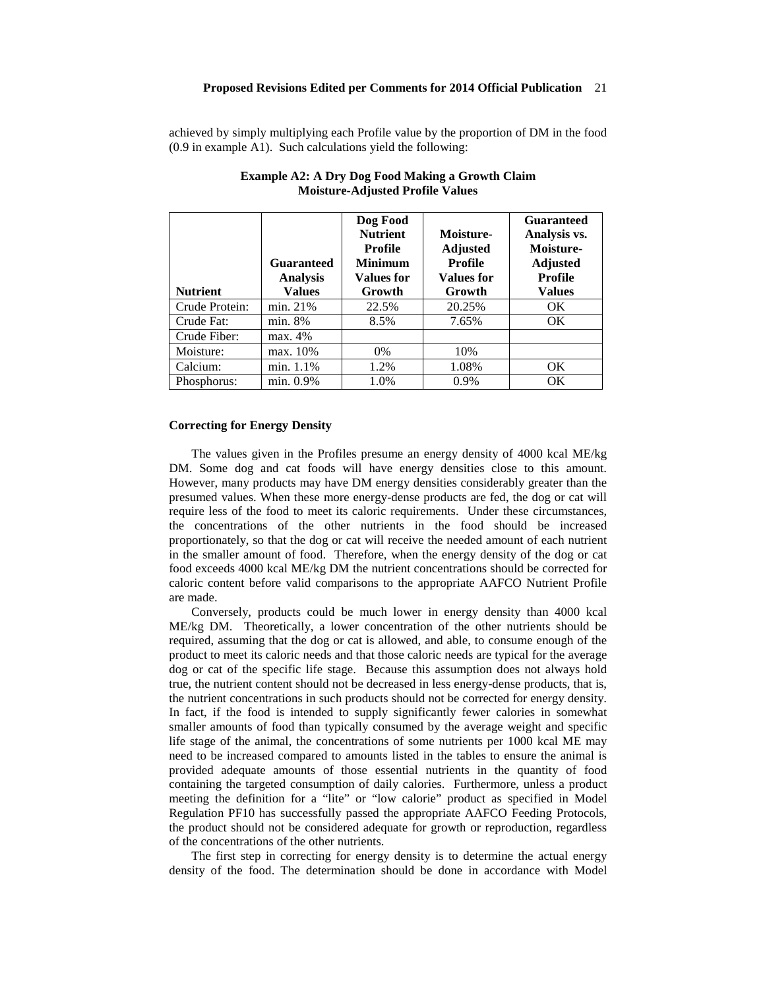achieved by simply multiplying each Profile value by the proportion of DM in the food (0.9 in example A1). Such calculations yield the following:

| <b>Nutrient</b> | <b>Guaranteed</b><br><b>Analysis</b><br><b>Values</b> | Dog Food<br><b>Nutrient</b><br>Profile<br><b>Minimum</b><br><b>Values for</b><br>Growth | Moisture-<br><b>Adjusted</b><br><b>Profile</b><br><b>Values for</b><br>Growth | <b>Guaranteed</b><br>Analysis vs.<br>Moisture-<br><b>Adjusted</b><br><b>Profile</b><br><b>Values</b> |
|-----------------|-------------------------------------------------------|-----------------------------------------------------------------------------------------|-------------------------------------------------------------------------------|------------------------------------------------------------------------------------------------------|
| Crude Protein:  | min. 21%                                              | 22.5%                                                                                   | 20.25%                                                                        | <b>OK</b>                                                                                            |
| Crude Fat:      | min. 8%                                               | 8.5%                                                                                    | 7.65%                                                                         | OK.                                                                                                  |
| Crude Fiber:    | max. 4%                                               |                                                                                         |                                                                               |                                                                                                      |
| Moisture:       | max. 10%                                              | $0\%$                                                                                   | 10%                                                                           |                                                                                                      |
| Calcium:        | min. 1.1%                                             | 1.2%                                                                                    | 1.08%                                                                         | OK.                                                                                                  |
| Phosphorus:     | min. 0.9%                                             | 1.0%                                                                                    | 0.9%                                                                          | <b>OK</b>                                                                                            |

# **Example A2: A Dry Dog Food Making a Growth Claim Moisture-Adjusted Profile Values**

#### **Correcting for Energy Density**

The values given in the Profiles presume an energy density of 4000 kcal ME/kg DM. Some dog and cat foods will have energy densities close to this amount. However, many products may have DM energy densities considerably greater than the presumed values. When these more energy-dense products are fed, the dog or cat will require less of the food to meet its caloric requirements. Under these circumstances, the concentrations of the other nutrients in the food should be increased proportionately, so that the dog or cat will receive the needed amount of each nutrient in the smaller amount of food. Therefore, when the energy density of the dog or cat food exceeds 4000 kcal ME/kg DM the nutrient concentrations should be corrected for caloric content before valid comparisons to the appropriate AAFCO Nutrient Profile are made.

Conversely, products could be much lower in energy density than 4000 kcal ME/kg DM. Theoretically, a lower concentration of the other nutrients should be required, assuming that the dog or cat is allowed, and able, to consume enough of the product to meet its caloric needs and that those caloric needs are typical for the average dog or cat of the specific life stage. Because this assumption does not always hold true, the nutrient content should not be decreased in less energy-dense products, that is, the nutrient concentrations in such products should not be corrected for energy density. In fact, if the food is intended to supply significantly fewer calories in somewhat smaller amounts of food than typically consumed by the average weight and specific life stage of the animal, the concentrations of some nutrients per 1000 kcal ME may need to be increased compared to amounts listed in the tables to ensure the animal is provided adequate amounts of those essential nutrients in the quantity of food containing the targeted consumption of daily calories. Furthermore, unless a product meeting the definition for a "lite" or "low calorie" product as specified in Model Regulation PF10 has successfully passed the appropriate AAFCO Feeding Protocols, the product should not be considered adequate for growth or reproduction, regardless of the concentrations of the other nutrients.

The first step in correcting for energy density is to determine the actual energy density of the food. The determination should be done in accordance with Model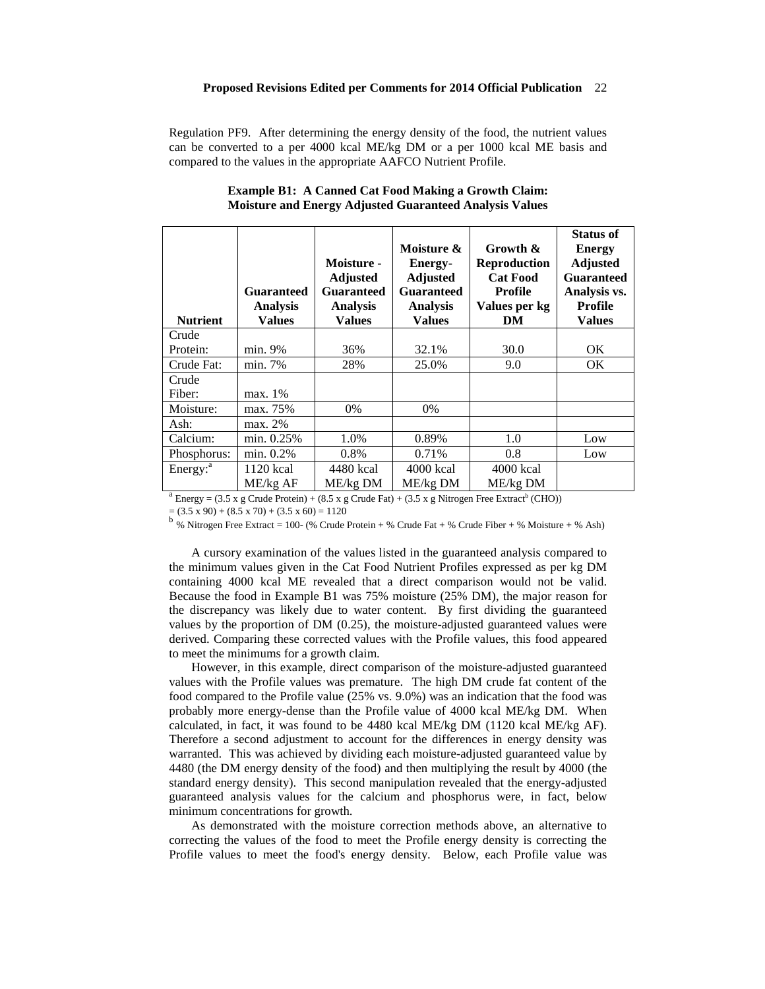Regulation PF9. After determining the energy density of the food, the nutrient values can be converted to a per 4000 kcal ME/kg DM or a per 1000 kcal ME basis and compared to the values in the appropriate AAFCO Nutrient Profile.

| <b>Nutrient</b>      | <b>Guaranteed</b><br><b>Analysis</b><br><b>Values</b> | Moisture -<br><b>Adjusted</b><br><b>Guaranteed</b><br><b>Analysis</b><br>Values | Moisture &<br><b>Energy-</b><br><b>Adjusted</b><br><b>Guaranteed</b><br><b>Analysis</b><br>Values | Growth &<br><b>Reproduction</b><br><b>Cat Food</b><br>Profile<br>Values per kg<br>DM | <b>Status of</b><br><b>Energy</b><br><b>Adjusted</b><br><b>Guaranteed</b><br>Analysis vs.<br>Profile<br><b>Values</b> |
|----------------------|-------------------------------------------------------|---------------------------------------------------------------------------------|---------------------------------------------------------------------------------------------------|--------------------------------------------------------------------------------------|-----------------------------------------------------------------------------------------------------------------------|
| Crude                |                                                       |                                                                                 |                                                                                                   |                                                                                      |                                                                                                                       |
| Protein:             | min. 9%                                               | 36%                                                                             | 32.1%                                                                                             | 30.0                                                                                 | OK.                                                                                                                   |
| Crude Fat:           | min. 7%                                               | 28%                                                                             | 25.0%                                                                                             | 9.0                                                                                  | <b>OK</b>                                                                                                             |
| Crude                |                                                       |                                                                                 |                                                                                                   |                                                                                      |                                                                                                                       |
| Fiber:               | max. 1%                                               |                                                                                 |                                                                                                   |                                                                                      |                                                                                                                       |
| Moisture:            | max. 75%                                              | 0%                                                                              | $0\%$                                                                                             |                                                                                      |                                                                                                                       |
| Ash:                 | max. 2%                                               |                                                                                 |                                                                                                   |                                                                                      |                                                                                                                       |
| Calcium:             | min. 0.25%                                            | 1.0%                                                                            | 0.89%                                                                                             | 1.0                                                                                  | Low                                                                                                                   |
| Phosphorus:          | min. 0.2%                                             | 0.8%                                                                            | 0.71%                                                                                             | 0.8                                                                                  | Low                                                                                                                   |
| Energy: <sup>a</sup> | 1120 kcal                                             | 4480 kcal                                                                       | 4000 kcal                                                                                         | $4000$ kcal                                                                          |                                                                                                                       |
|                      | ME/kg AF                                              | $ME/kg$ DM                                                                      | $ME/kg$ DM                                                                                        | $ME/kg$ DM                                                                           |                                                                                                                       |

# **Example B1: A Canned Cat Food Making a Growth Claim: Moisture and Energy Adjusted Guaranteed Analysis Values**

<sup>a</sup> Energy = (3.5 x g Crude Protein) + (8.5 x g Crude Fat) + (3.5 x g Nitrogen Free Extract<sup>b</sup> (CHO))

 $= (3.5 \times 90) + (8.5 \times 70) + (3.5 \times 60) = 1120$ <br><sup>b</sup> % Nitrogen Free Extract = 100- (% Crude Protein + % Crude Fat + % Crude Fiber + % Moisture + % Ash)

A cursory examination of the values listed in the guaranteed analysis compared to the minimum values given in the Cat Food Nutrient Profiles expressed as per kg DM containing 4000 kcal ME revealed that a direct comparison would not be valid. Because the food in Example B1 was 75% moisture (25% DM), the major reason for the discrepancy was likely due to water content. By first dividing the guaranteed values by the proportion of DM (0.25), the moisture-adjusted guaranteed values were derived. Comparing these corrected values with the Profile values, this food appeared to meet the minimums for a growth claim.

However, in this example, direct comparison of the moisture-adjusted guaranteed values with the Profile values was premature. The high DM crude fat content of the food compared to the Profile value (25% vs. 9.0%) was an indication that the food was probably more energy-dense than the Profile value of 4000 kcal ME/kg DM. When calculated, in fact, it was found to be 4480 kcal ME/kg DM (1120 kcal ME/kg AF). Therefore a second adjustment to account for the differences in energy density was warranted. This was achieved by dividing each moisture-adjusted guaranteed value by 4480 (the DM energy density of the food) and then multiplying the result by 4000 (the standard energy density). This second manipulation revealed that the energy-adjusted guaranteed analysis values for the calcium and phosphorus were, in fact, below minimum concentrations for growth.

As demonstrated with the moisture correction methods above, an alternative to correcting the values of the food to meet the Profile energy density is correcting the Profile values to meet the food's energy density. Below, each Profile value was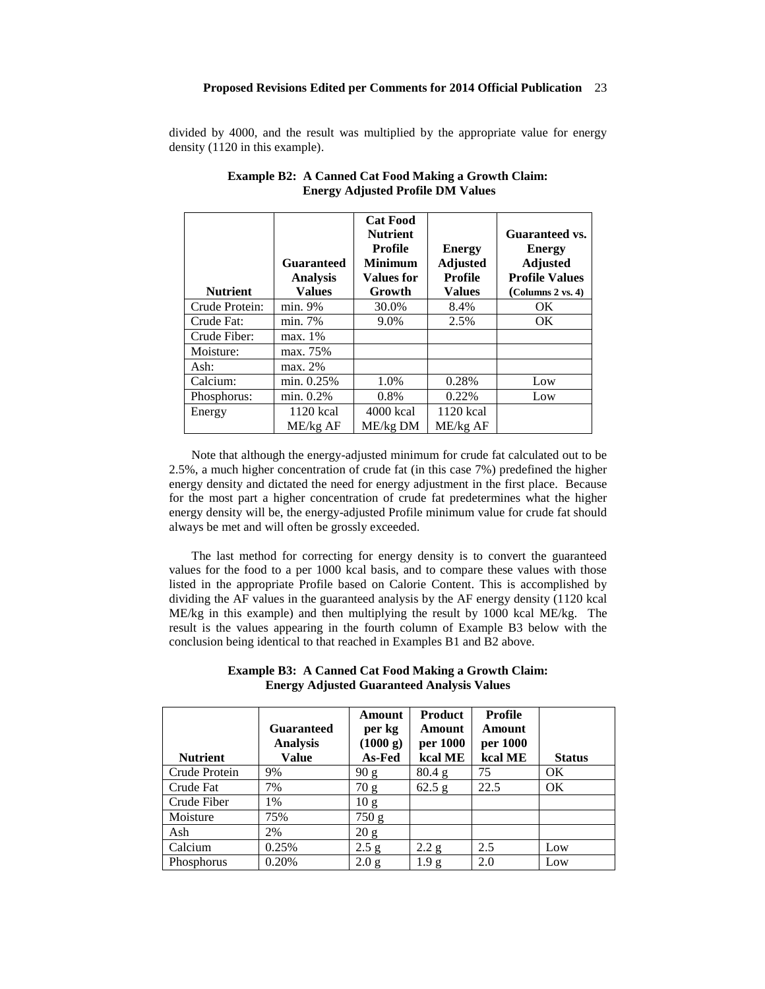divided by 4000, and the result was multiplied by the appropriate value for energy density (1120 in this example).

| <b>Nutrient</b> | <b>Guaranteed</b><br><b>Analysis</b><br><b>Values</b> | <b>Cat Food</b><br><b>Nutrient</b><br><b>Profile</b><br><b>Minimum</b><br><b>Values for</b><br>Growth | <b>Energy</b><br><b>Adjusted</b><br><b>Profile</b><br><b>Values</b> | Guaranteed vs.<br><b>Energy</b><br><b>Adjusted</b><br><b>Profile Values</b><br>(Columns 2 vs. 4) |
|-----------------|-------------------------------------------------------|-------------------------------------------------------------------------------------------------------|---------------------------------------------------------------------|--------------------------------------------------------------------------------------------------|
| Crude Protein:  | min. 9%                                               | 30.0%                                                                                                 | 8.4%                                                                | OK                                                                                               |
| Crude Fat:      | min. 7%                                               | 9.0%                                                                                                  | 2.5%                                                                | OK                                                                                               |
| Crude Fiber:    | max. 1%                                               |                                                                                                       |                                                                     |                                                                                                  |
| Moisture:       | max. 75%                                              |                                                                                                       |                                                                     |                                                                                                  |
| Ash:            | max. 2%                                               |                                                                                                       |                                                                     |                                                                                                  |
| Calcium:        | min. 0.25%                                            | 1.0%                                                                                                  | 0.28%                                                               | Low                                                                                              |
| Phosphorus:     | min. 0.2%                                             | 0.8%                                                                                                  | 0.22%                                                               | Low                                                                                              |
| Energy          | 1120 kcal                                             | $4000$ kcal                                                                                           | 1120 kcal                                                           |                                                                                                  |
|                 | ME/kg AF                                              | $ME/kg$ DM                                                                                            | ME/kg AF                                                            |                                                                                                  |

# **Example B2: A Canned Cat Food Making a Growth Claim: Energy Adjusted Profile DM Values**

Note that although the energy-adjusted minimum for crude fat calculated out to be 2.5%, a much higher concentration of crude fat (in this case 7%) predefined the higher energy density and dictated the need for energy adjustment in the first place. Because for the most part a higher concentration of crude fat predetermines what the higher energy density will be, the energy-adjusted Profile minimum value for crude fat should always be met and will often be grossly exceeded.

The last method for correcting for energy density is to convert the guaranteed values for the food to a per 1000 kcal basis, and to compare these values with those listed in the appropriate Profile based on Calorie Content. This is accomplished by dividing the AF values in the guaranteed analysis by the AF energy density (1120 kcal ME/kg in this example) and then multiplying the result by 1000 kcal ME/kg. The result is the values appearing in the fourth column of Example B3 below with the conclusion being identical to that reached in Examples B1 and B2 above.

**Example B3: A Canned Cat Food Making a Growth Claim: Energy Adjusted Guaranteed Analysis Values**

|                 | <b>Guaranteed</b><br><b>Analysis</b> | Amount<br>per kg<br>(1000 g) | <b>Product</b><br>Amount<br>per 1000 | Profile<br>Amount<br>per 1000 |               |
|-----------------|--------------------------------------|------------------------------|--------------------------------------|-------------------------------|---------------|
| <b>Nutrient</b> | Value                                | As-Fed                       | kcal ME                              | kcal ME                       | <b>Status</b> |
| Crude Protein   | 9%                                   | 90 g                         | $80.4\text{ g}$                      | 75                            | <b>OK</b>     |
| Crude Fat       | 7%                                   | 70 g                         | 62.5 g                               | 22.5                          | OK.           |
| Crude Fiber     | 1%                                   | 10 <sub>g</sub>              |                                      |                               |               |
| Moisture        | 75%                                  | 750 g                        |                                      |                               |               |
| Ash             | 2%                                   | 20 g                         |                                      |                               |               |
| Calcium         | 0.25%                                | 2.5 g                        | 2.2 g                                | 2.5                           | Low           |
| Phosphorus      | 0.20%                                | 2.0 g                        | 1.9 g                                | 2.0                           | Low           |